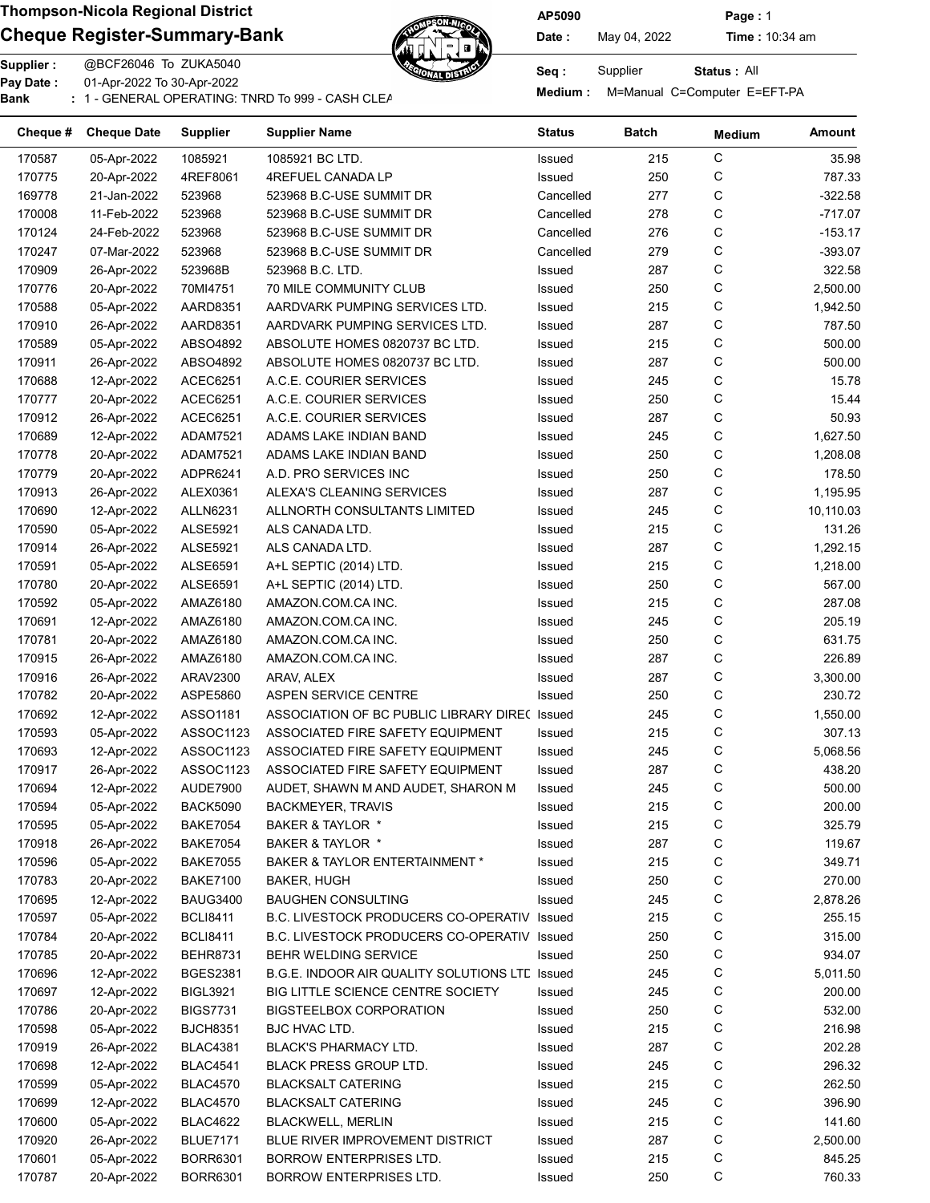## Cheque Register-Summary-Bank  $\mathbb{Z}$  Date: May 04, 2022 Time : 10:34 am



AP5090 Page : 1

Pay Date :

01-Apr-2022 To 30-Apr-2022

or Medium : M=Manual C=Computer E=EFT-PA<br>Bank : 1 - GENERAL OPERATING: TNRD To 999 - CASH CLEARNING BANKING BANKING BANKING BANKING BANKING BANKING: T

Status : All

| $\mathsf C$<br>170587<br>05-Apr-2022<br>1085921<br>1085921 BC LTD.<br>Issued<br>215<br>C<br>250<br>170775<br>20-Apr-2022<br>4REF8061<br>4REFUEL CANADA LP<br>Issued<br>С<br>277<br>169778<br>21-Jan-2022<br>523968<br>523968 B.C-USE SUMMIT DR<br>Cancelled<br>С<br>278<br>170008<br>11-Feb-2022<br>523968<br>523968 B.C-USE SUMMIT DR<br>Cancelled<br>С<br>523968<br>523968 B.C-USE SUMMIT DR<br>276<br>170124<br>24-Feb-2022<br>Cancelled<br>С<br>170247<br>523968<br>279<br>07-Mar-2022<br>523968 B.C-USE SUMMIT DR<br>Cancelled<br>С<br>287<br>170909<br>26-Apr-2022<br>523968B<br>523968 B.C. LTD.<br>Issued<br>C<br>170776<br>250<br>20-Apr-2022<br>70MI4751<br><b>70 MILE COMMUNITY CLUB</b><br>Issued<br>C<br>170588<br>05-Apr-2022<br>AARD8351<br>AARDVARK PUMPING SERVICES LTD.<br>Issued<br>215<br>С<br>170910<br>26-Apr-2022<br>AARD8351<br>AARDVARK PUMPING SERVICES LTD.<br>Issued<br>287<br>С<br>ABSO4892<br>Issued<br>215<br>170589<br>05-Apr-2022<br>ABSOLUTE HOMES 0820737 BC LTD.<br>С<br>Issued<br>287<br>170911<br>26-Apr-2022<br>ABSO4892<br>ABSOLUTE HOMES 0820737 BC LTD.<br>C<br>245<br>170688<br>12-Apr-2022<br>ACEC6251<br>A.C.E. COURIER SERVICES<br>Issued<br>С<br>250<br>170777<br>20-Apr-2022<br>ACEC6251<br>A.C.E. COURIER SERVICES<br>Issued<br>С<br>287<br>170912<br>26-Apr-2022<br>ACEC6251<br>A.C.E. COURIER SERVICES<br>Issued<br>С<br>170689<br>12-Apr-2022<br>ADAM7521<br>ADAMS LAKE INDIAN BAND<br>Issued<br>245<br>C<br>170778<br>20-Apr-2022<br>ADAM7521<br>ADAMS LAKE INDIAN BAND<br>Issued<br>250<br>C<br>170779<br>20-Apr-2022<br>ADPR6241<br>A.D. PRO SERVICES INC<br>Issued<br>250<br>С<br>287<br>170913<br>26-Apr-2022<br>ALEX0361<br>ALEXA'S CLEANING SERVICES<br>Issued<br>С<br>245<br>170690<br>12-Apr-2022<br><b>ALLN6231</b><br>ALLNORTH CONSULTANTS LIMITED<br>Issued<br>10,110.03<br>С<br>215<br>170590<br>05-Apr-2022<br><b>ALSE5921</b><br>ALS CANADA LTD.<br>Issued<br>C<br>287<br>170914<br>26-Apr-2022<br><b>ALSE5921</b><br>ALS CANADA LTD.<br>Issued<br>С<br>1,218.00<br>170591<br>05-Apr-2022<br><b>ALSE6591</b><br>A+L SEPTIC (2014) LTD.<br>Issued<br>215<br>С<br>250<br>170780<br>20-Apr-2022<br><b>ALSE6591</b><br>A+L SEPTIC (2014) LTD.<br>Issued<br>C<br>215<br>170592<br>05-Apr-2022<br>AMAZ6180<br>AMAZON.COM.CA INC.<br>Issued<br>С<br>245<br>170691<br>12-Apr-2022<br>AMAZ6180<br>AMAZON.COM.CA INC.<br>Issued<br>С<br>250<br>170781<br>20-Apr-2022<br>AMAZ6180<br>AMAZON.COM.CA INC.<br>Issued<br>С<br>Issued<br>287<br>170915<br>26-Apr-2022<br>AMAZ6180<br>AMAZON.COM.CA INC.<br>С<br>287<br>3,300.00<br>170916<br>26-Apr-2022<br>ARAV2300<br>ARAV, ALEX<br>Issued<br>С<br>250<br>170782<br>20-Apr-2022<br>ASPE5860<br>ASPEN SERVICE CENTRE<br>Issued<br>С<br>245<br>170692<br>12-Apr-2022<br>ASSO1181<br>ASSOCIATION OF BC PUBLIC LIBRARY DIRE( Issued<br>1,550.00<br>С<br>170593<br>05-Apr-2022<br>ASSOC1123<br>ASSOCIATED FIRE SAFETY EQUIPMENT<br>Issued<br>215<br>С<br>170693<br>12-Apr-2022<br>ASSOC1123<br>ASSOCIATED FIRE SAFETY EQUIPMENT<br>Issued<br>245<br>5,068.56<br>С<br>170917<br>26-Apr-2022<br>ASSOC1123<br>ASSOCIATED FIRE SAFETY EQUIPMENT<br>Issued<br>287 | 35.98<br>787.33<br>$-322.58$<br>$-717.07$ |
|--------------------------------------------------------------------------------------------------------------------------------------------------------------------------------------------------------------------------------------------------------------------------------------------------------------------------------------------------------------------------------------------------------------------------------------------------------------------------------------------------------------------------------------------------------------------------------------------------------------------------------------------------------------------------------------------------------------------------------------------------------------------------------------------------------------------------------------------------------------------------------------------------------------------------------------------------------------------------------------------------------------------------------------------------------------------------------------------------------------------------------------------------------------------------------------------------------------------------------------------------------------------------------------------------------------------------------------------------------------------------------------------------------------------------------------------------------------------------------------------------------------------------------------------------------------------------------------------------------------------------------------------------------------------------------------------------------------------------------------------------------------------------------------------------------------------------------------------------------------------------------------------------------------------------------------------------------------------------------------------------------------------------------------------------------------------------------------------------------------------------------------------------------------------------------------------------------------------------------------------------------------------------------------------------------------------------------------------------------------------------------------------------------------------------------------------------------------------------------------------------------------------------------------------------------------------------------------------------------------------------------------------------------------------------------------------------------------------------------------------------------------------------------------------------------------------------------------------------------------------------------------------------------------------------------------------------------------------------------------------------------------------------------------------------------------------------------------------------------------------------------------------------------------|-------------------------------------------|
|                                                                                                                                                                                                                                                                                                                                                                                                                                                                                                                                                                                                                                                                                                                                                                                                                                                                                                                                                                                                                                                                                                                                                                                                                                                                                                                                                                                                                                                                                                                                                                                                                                                                                                                                                                                                                                                                                                                                                                                                                                                                                                                                                                                                                                                                                                                                                                                                                                                                                                                                                                                                                                                                                                                                                                                                                                                                                                                                                                                                                                                                                                                                                              |                                           |
|                                                                                                                                                                                                                                                                                                                                                                                                                                                                                                                                                                                                                                                                                                                                                                                                                                                                                                                                                                                                                                                                                                                                                                                                                                                                                                                                                                                                                                                                                                                                                                                                                                                                                                                                                                                                                                                                                                                                                                                                                                                                                                                                                                                                                                                                                                                                                                                                                                                                                                                                                                                                                                                                                                                                                                                                                                                                                                                                                                                                                                                                                                                                                              |                                           |
|                                                                                                                                                                                                                                                                                                                                                                                                                                                                                                                                                                                                                                                                                                                                                                                                                                                                                                                                                                                                                                                                                                                                                                                                                                                                                                                                                                                                                                                                                                                                                                                                                                                                                                                                                                                                                                                                                                                                                                                                                                                                                                                                                                                                                                                                                                                                                                                                                                                                                                                                                                                                                                                                                                                                                                                                                                                                                                                                                                                                                                                                                                                                                              |                                           |
|                                                                                                                                                                                                                                                                                                                                                                                                                                                                                                                                                                                                                                                                                                                                                                                                                                                                                                                                                                                                                                                                                                                                                                                                                                                                                                                                                                                                                                                                                                                                                                                                                                                                                                                                                                                                                                                                                                                                                                                                                                                                                                                                                                                                                                                                                                                                                                                                                                                                                                                                                                                                                                                                                                                                                                                                                                                                                                                                                                                                                                                                                                                                                              |                                           |
|                                                                                                                                                                                                                                                                                                                                                                                                                                                                                                                                                                                                                                                                                                                                                                                                                                                                                                                                                                                                                                                                                                                                                                                                                                                                                                                                                                                                                                                                                                                                                                                                                                                                                                                                                                                                                                                                                                                                                                                                                                                                                                                                                                                                                                                                                                                                                                                                                                                                                                                                                                                                                                                                                                                                                                                                                                                                                                                                                                                                                                                                                                                                                              | $-153.17$                                 |
|                                                                                                                                                                                                                                                                                                                                                                                                                                                                                                                                                                                                                                                                                                                                                                                                                                                                                                                                                                                                                                                                                                                                                                                                                                                                                                                                                                                                                                                                                                                                                                                                                                                                                                                                                                                                                                                                                                                                                                                                                                                                                                                                                                                                                                                                                                                                                                                                                                                                                                                                                                                                                                                                                                                                                                                                                                                                                                                                                                                                                                                                                                                                                              | $-393.07$                                 |
|                                                                                                                                                                                                                                                                                                                                                                                                                                                                                                                                                                                                                                                                                                                                                                                                                                                                                                                                                                                                                                                                                                                                                                                                                                                                                                                                                                                                                                                                                                                                                                                                                                                                                                                                                                                                                                                                                                                                                                                                                                                                                                                                                                                                                                                                                                                                                                                                                                                                                                                                                                                                                                                                                                                                                                                                                                                                                                                                                                                                                                                                                                                                                              | 322.58                                    |
|                                                                                                                                                                                                                                                                                                                                                                                                                                                                                                                                                                                                                                                                                                                                                                                                                                                                                                                                                                                                                                                                                                                                                                                                                                                                                                                                                                                                                                                                                                                                                                                                                                                                                                                                                                                                                                                                                                                                                                                                                                                                                                                                                                                                                                                                                                                                                                                                                                                                                                                                                                                                                                                                                                                                                                                                                                                                                                                                                                                                                                                                                                                                                              | 2,500.00                                  |
|                                                                                                                                                                                                                                                                                                                                                                                                                                                                                                                                                                                                                                                                                                                                                                                                                                                                                                                                                                                                                                                                                                                                                                                                                                                                                                                                                                                                                                                                                                                                                                                                                                                                                                                                                                                                                                                                                                                                                                                                                                                                                                                                                                                                                                                                                                                                                                                                                                                                                                                                                                                                                                                                                                                                                                                                                                                                                                                                                                                                                                                                                                                                                              | 1,942.50                                  |
|                                                                                                                                                                                                                                                                                                                                                                                                                                                                                                                                                                                                                                                                                                                                                                                                                                                                                                                                                                                                                                                                                                                                                                                                                                                                                                                                                                                                                                                                                                                                                                                                                                                                                                                                                                                                                                                                                                                                                                                                                                                                                                                                                                                                                                                                                                                                                                                                                                                                                                                                                                                                                                                                                                                                                                                                                                                                                                                                                                                                                                                                                                                                                              | 787.50                                    |
|                                                                                                                                                                                                                                                                                                                                                                                                                                                                                                                                                                                                                                                                                                                                                                                                                                                                                                                                                                                                                                                                                                                                                                                                                                                                                                                                                                                                                                                                                                                                                                                                                                                                                                                                                                                                                                                                                                                                                                                                                                                                                                                                                                                                                                                                                                                                                                                                                                                                                                                                                                                                                                                                                                                                                                                                                                                                                                                                                                                                                                                                                                                                                              | 500.00                                    |
|                                                                                                                                                                                                                                                                                                                                                                                                                                                                                                                                                                                                                                                                                                                                                                                                                                                                                                                                                                                                                                                                                                                                                                                                                                                                                                                                                                                                                                                                                                                                                                                                                                                                                                                                                                                                                                                                                                                                                                                                                                                                                                                                                                                                                                                                                                                                                                                                                                                                                                                                                                                                                                                                                                                                                                                                                                                                                                                                                                                                                                                                                                                                                              | 500.00                                    |
|                                                                                                                                                                                                                                                                                                                                                                                                                                                                                                                                                                                                                                                                                                                                                                                                                                                                                                                                                                                                                                                                                                                                                                                                                                                                                                                                                                                                                                                                                                                                                                                                                                                                                                                                                                                                                                                                                                                                                                                                                                                                                                                                                                                                                                                                                                                                                                                                                                                                                                                                                                                                                                                                                                                                                                                                                                                                                                                                                                                                                                                                                                                                                              | 15.78                                     |
|                                                                                                                                                                                                                                                                                                                                                                                                                                                                                                                                                                                                                                                                                                                                                                                                                                                                                                                                                                                                                                                                                                                                                                                                                                                                                                                                                                                                                                                                                                                                                                                                                                                                                                                                                                                                                                                                                                                                                                                                                                                                                                                                                                                                                                                                                                                                                                                                                                                                                                                                                                                                                                                                                                                                                                                                                                                                                                                                                                                                                                                                                                                                                              | 15.44                                     |
|                                                                                                                                                                                                                                                                                                                                                                                                                                                                                                                                                                                                                                                                                                                                                                                                                                                                                                                                                                                                                                                                                                                                                                                                                                                                                                                                                                                                                                                                                                                                                                                                                                                                                                                                                                                                                                                                                                                                                                                                                                                                                                                                                                                                                                                                                                                                                                                                                                                                                                                                                                                                                                                                                                                                                                                                                                                                                                                                                                                                                                                                                                                                                              | 50.93                                     |
|                                                                                                                                                                                                                                                                                                                                                                                                                                                                                                                                                                                                                                                                                                                                                                                                                                                                                                                                                                                                                                                                                                                                                                                                                                                                                                                                                                                                                                                                                                                                                                                                                                                                                                                                                                                                                                                                                                                                                                                                                                                                                                                                                                                                                                                                                                                                                                                                                                                                                                                                                                                                                                                                                                                                                                                                                                                                                                                                                                                                                                                                                                                                                              | 1,627.50                                  |
|                                                                                                                                                                                                                                                                                                                                                                                                                                                                                                                                                                                                                                                                                                                                                                                                                                                                                                                                                                                                                                                                                                                                                                                                                                                                                                                                                                                                                                                                                                                                                                                                                                                                                                                                                                                                                                                                                                                                                                                                                                                                                                                                                                                                                                                                                                                                                                                                                                                                                                                                                                                                                                                                                                                                                                                                                                                                                                                                                                                                                                                                                                                                                              | 1,208.08                                  |
|                                                                                                                                                                                                                                                                                                                                                                                                                                                                                                                                                                                                                                                                                                                                                                                                                                                                                                                                                                                                                                                                                                                                                                                                                                                                                                                                                                                                                                                                                                                                                                                                                                                                                                                                                                                                                                                                                                                                                                                                                                                                                                                                                                                                                                                                                                                                                                                                                                                                                                                                                                                                                                                                                                                                                                                                                                                                                                                                                                                                                                                                                                                                                              | 178.50                                    |
|                                                                                                                                                                                                                                                                                                                                                                                                                                                                                                                                                                                                                                                                                                                                                                                                                                                                                                                                                                                                                                                                                                                                                                                                                                                                                                                                                                                                                                                                                                                                                                                                                                                                                                                                                                                                                                                                                                                                                                                                                                                                                                                                                                                                                                                                                                                                                                                                                                                                                                                                                                                                                                                                                                                                                                                                                                                                                                                                                                                                                                                                                                                                                              | 1,195.95                                  |
|                                                                                                                                                                                                                                                                                                                                                                                                                                                                                                                                                                                                                                                                                                                                                                                                                                                                                                                                                                                                                                                                                                                                                                                                                                                                                                                                                                                                                                                                                                                                                                                                                                                                                                                                                                                                                                                                                                                                                                                                                                                                                                                                                                                                                                                                                                                                                                                                                                                                                                                                                                                                                                                                                                                                                                                                                                                                                                                                                                                                                                                                                                                                                              |                                           |
|                                                                                                                                                                                                                                                                                                                                                                                                                                                                                                                                                                                                                                                                                                                                                                                                                                                                                                                                                                                                                                                                                                                                                                                                                                                                                                                                                                                                                                                                                                                                                                                                                                                                                                                                                                                                                                                                                                                                                                                                                                                                                                                                                                                                                                                                                                                                                                                                                                                                                                                                                                                                                                                                                                                                                                                                                                                                                                                                                                                                                                                                                                                                                              | 131.26                                    |
|                                                                                                                                                                                                                                                                                                                                                                                                                                                                                                                                                                                                                                                                                                                                                                                                                                                                                                                                                                                                                                                                                                                                                                                                                                                                                                                                                                                                                                                                                                                                                                                                                                                                                                                                                                                                                                                                                                                                                                                                                                                                                                                                                                                                                                                                                                                                                                                                                                                                                                                                                                                                                                                                                                                                                                                                                                                                                                                                                                                                                                                                                                                                                              | 1,292.15                                  |
|                                                                                                                                                                                                                                                                                                                                                                                                                                                                                                                                                                                                                                                                                                                                                                                                                                                                                                                                                                                                                                                                                                                                                                                                                                                                                                                                                                                                                                                                                                                                                                                                                                                                                                                                                                                                                                                                                                                                                                                                                                                                                                                                                                                                                                                                                                                                                                                                                                                                                                                                                                                                                                                                                                                                                                                                                                                                                                                                                                                                                                                                                                                                                              |                                           |
|                                                                                                                                                                                                                                                                                                                                                                                                                                                                                                                                                                                                                                                                                                                                                                                                                                                                                                                                                                                                                                                                                                                                                                                                                                                                                                                                                                                                                                                                                                                                                                                                                                                                                                                                                                                                                                                                                                                                                                                                                                                                                                                                                                                                                                                                                                                                                                                                                                                                                                                                                                                                                                                                                                                                                                                                                                                                                                                                                                                                                                                                                                                                                              | 567.00                                    |
|                                                                                                                                                                                                                                                                                                                                                                                                                                                                                                                                                                                                                                                                                                                                                                                                                                                                                                                                                                                                                                                                                                                                                                                                                                                                                                                                                                                                                                                                                                                                                                                                                                                                                                                                                                                                                                                                                                                                                                                                                                                                                                                                                                                                                                                                                                                                                                                                                                                                                                                                                                                                                                                                                                                                                                                                                                                                                                                                                                                                                                                                                                                                                              | 287.08                                    |
|                                                                                                                                                                                                                                                                                                                                                                                                                                                                                                                                                                                                                                                                                                                                                                                                                                                                                                                                                                                                                                                                                                                                                                                                                                                                                                                                                                                                                                                                                                                                                                                                                                                                                                                                                                                                                                                                                                                                                                                                                                                                                                                                                                                                                                                                                                                                                                                                                                                                                                                                                                                                                                                                                                                                                                                                                                                                                                                                                                                                                                                                                                                                                              | 205.19                                    |
|                                                                                                                                                                                                                                                                                                                                                                                                                                                                                                                                                                                                                                                                                                                                                                                                                                                                                                                                                                                                                                                                                                                                                                                                                                                                                                                                                                                                                                                                                                                                                                                                                                                                                                                                                                                                                                                                                                                                                                                                                                                                                                                                                                                                                                                                                                                                                                                                                                                                                                                                                                                                                                                                                                                                                                                                                                                                                                                                                                                                                                                                                                                                                              | 631.75                                    |
|                                                                                                                                                                                                                                                                                                                                                                                                                                                                                                                                                                                                                                                                                                                                                                                                                                                                                                                                                                                                                                                                                                                                                                                                                                                                                                                                                                                                                                                                                                                                                                                                                                                                                                                                                                                                                                                                                                                                                                                                                                                                                                                                                                                                                                                                                                                                                                                                                                                                                                                                                                                                                                                                                                                                                                                                                                                                                                                                                                                                                                                                                                                                                              | 226.89                                    |
|                                                                                                                                                                                                                                                                                                                                                                                                                                                                                                                                                                                                                                                                                                                                                                                                                                                                                                                                                                                                                                                                                                                                                                                                                                                                                                                                                                                                                                                                                                                                                                                                                                                                                                                                                                                                                                                                                                                                                                                                                                                                                                                                                                                                                                                                                                                                                                                                                                                                                                                                                                                                                                                                                                                                                                                                                                                                                                                                                                                                                                                                                                                                                              |                                           |
|                                                                                                                                                                                                                                                                                                                                                                                                                                                                                                                                                                                                                                                                                                                                                                                                                                                                                                                                                                                                                                                                                                                                                                                                                                                                                                                                                                                                                                                                                                                                                                                                                                                                                                                                                                                                                                                                                                                                                                                                                                                                                                                                                                                                                                                                                                                                                                                                                                                                                                                                                                                                                                                                                                                                                                                                                                                                                                                                                                                                                                                                                                                                                              | 230.72                                    |
|                                                                                                                                                                                                                                                                                                                                                                                                                                                                                                                                                                                                                                                                                                                                                                                                                                                                                                                                                                                                                                                                                                                                                                                                                                                                                                                                                                                                                                                                                                                                                                                                                                                                                                                                                                                                                                                                                                                                                                                                                                                                                                                                                                                                                                                                                                                                                                                                                                                                                                                                                                                                                                                                                                                                                                                                                                                                                                                                                                                                                                                                                                                                                              |                                           |
|                                                                                                                                                                                                                                                                                                                                                                                                                                                                                                                                                                                                                                                                                                                                                                                                                                                                                                                                                                                                                                                                                                                                                                                                                                                                                                                                                                                                                                                                                                                                                                                                                                                                                                                                                                                                                                                                                                                                                                                                                                                                                                                                                                                                                                                                                                                                                                                                                                                                                                                                                                                                                                                                                                                                                                                                                                                                                                                                                                                                                                                                                                                                                              |                                           |
|                                                                                                                                                                                                                                                                                                                                                                                                                                                                                                                                                                                                                                                                                                                                                                                                                                                                                                                                                                                                                                                                                                                                                                                                                                                                                                                                                                                                                                                                                                                                                                                                                                                                                                                                                                                                                                                                                                                                                                                                                                                                                                                                                                                                                                                                                                                                                                                                                                                                                                                                                                                                                                                                                                                                                                                                                                                                                                                                                                                                                                                                                                                                                              | 307.13                                    |
|                                                                                                                                                                                                                                                                                                                                                                                                                                                                                                                                                                                                                                                                                                                                                                                                                                                                                                                                                                                                                                                                                                                                                                                                                                                                                                                                                                                                                                                                                                                                                                                                                                                                                                                                                                                                                                                                                                                                                                                                                                                                                                                                                                                                                                                                                                                                                                                                                                                                                                                                                                                                                                                                                                                                                                                                                                                                                                                                                                                                                                                                                                                                                              |                                           |
|                                                                                                                                                                                                                                                                                                                                                                                                                                                                                                                                                                                                                                                                                                                                                                                                                                                                                                                                                                                                                                                                                                                                                                                                                                                                                                                                                                                                                                                                                                                                                                                                                                                                                                                                                                                                                                                                                                                                                                                                                                                                                                                                                                                                                                                                                                                                                                                                                                                                                                                                                                                                                                                                                                                                                                                                                                                                                                                                                                                                                                                                                                                                                              | 438.20                                    |
| С<br>170694<br>12-Apr-2022<br>AUDE7900<br>AUDET, SHAWN M AND AUDET, SHARON M<br>245<br>Issued                                                                                                                                                                                                                                                                                                                                                                                                                                                                                                                                                                                                                                                                                                                                                                                                                                                                                                                                                                                                                                                                                                                                                                                                                                                                                                                                                                                                                                                                                                                                                                                                                                                                                                                                                                                                                                                                                                                                                                                                                                                                                                                                                                                                                                                                                                                                                                                                                                                                                                                                                                                                                                                                                                                                                                                                                                                                                                                                                                                                                                                                | 500.00                                    |
| 170594<br>05-Apr-2022<br><b>BACK5090</b><br><b>BACKMEYER, TRAVIS</b><br>Issued<br>215<br>С                                                                                                                                                                                                                                                                                                                                                                                                                                                                                                                                                                                                                                                                                                                                                                                                                                                                                                                                                                                                                                                                                                                                                                                                                                                                                                                                                                                                                                                                                                                                                                                                                                                                                                                                                                                                                                                                                                                                                                                                                                                                                                                                                                                                                                                                                                                                                                                                                                                                                                                                                                                                                                                                                                                                                                                                                                                                                                                                                                                                                                                                   | 200.00                                    |
| C<br>170595<br>05-Apr-2022<br><b>BAKE7054</b><br>BAKER & TAYLOR *<br>215<br>Issued                                                                                                                                                                                                                                                                                                                                                                                                                                                                                                                                                                                                                                                                                                                                                                                                                                                                                                                                                                                                                                                                                                                                                                                                                                                                                                                                                                                                                                                                                                                                                                                                                                                                                                                                                                                                                                                                                                                                                                                                                                                                                                                                                                                                                                                                                                                                                                                                                                                                                                                                                                                                                                                                                                                                                                                                                                                                                                                                                                                                                                                                           | 325.79                                    |
| С<br>170918<br>287<br>26-Apr-2022<br><b>BAKE7054</b><br>BAKER & TAYLOR *<br>Issued                                                                                                                                                                                                                                                                                                                                                                                                                                                                                                                                                                                                                                                                                                                                                                                                                                                                                                                                                                                                                                                                                                                                                                                                                                                                                                                                                                                                                                                                                                                                                                                                                                                                                                                                                                                                                                                                                                                                                                                                                                                                                                                                                                                                                                                                                                                                                                                                                                                                                                                                                                                                                                                                                                                                                                                                                                                                                                                                                                                                                                                                           | 119.67                                    |
| C<br>170596<br>05-Apr-2022<br><b>BAKE7055</b><br>BAKER & TAYLOR ENTERTAINMENT *<br>Issued<br>215                                                                                                                                                                                                                                                                                                                                                                                                                                                                                                                                                                                                                                                                                                                                                                                                                                                                                                                                                                                                                                                                                                                                                                                                                                                                                                                                                                                                                                                                                                                                                                                                                                                                                                                                                                                                                                                                                                                                                                                                                                                                                                                                                                                                                                                                                                                                                                                                                                                                                                                                                                                                                                                                                                                                                                                                                                                                                                                                                                                                                                                             | 349.71                                    |
| C<br>170783<br>20-Apr-2022<br><b>BAKE7100</b><br>Issued<br>250<br>BAKER, HUGH                                                                                                                                                                                                                                                                                                                                                                                                                                                                                                                                                                                                                                                                                                                                                                                                                                                                                                                                                                                                                                                                                                                                                                                                                                                                                                                                                                                                                                                                                                                                                                                                                                                                                                                                                                                                                                                                                                                                                                                                                                                                                                                                                                                                                                                                                                                                                                                                                                                                                                                                                                                                                                                                                                                                                                                                                                                                                                                                                                                                                                                                                | 270.00                                    |
| C<br>170695<br>12-Apr-2022<br><b>BAUG3400</b><br><b>BAUGHEN CONSULTING</b><br>Issued<br>245                                                                                                                                                                                                                                                                                                                                                                                                                                                                                                                                                                                                                                                                                                                                                                                                                                                                                                                                                                                                                                                                                                                                                                                                                                                                                                                                                                                                                                                                                                                                                                                                                                                                                                                                                                                                                                                                                                                                                                                                                                                                                                                                                                                                                                                                                                                                                                                                                                                                                                                                                                                                                                                                                                                                                                                                                                                                                                                                                                                                                                                                  | 2,878.26                                  |
| C<br>170597<br>05-Apr-2022<br><b>BCLI8411</b><br><b>B.C. LIVESTOCK PRODUCERS CO-OPERATIV</b><br>Issued<br>215                                                                                                                                                                                                                                                                                                                                                                                                                                                                                                                                                                                                                                                                                                                                                                                                                                                                                                                                                                                                                                                                                                                                                                                                                                                                                                                                                                                                                                                                                                                                                                                                                                                                                                                                                                                                                                                                                                                                                                                                                                                                                                                                                                                                                                                                                                                                                                                                                                                                                                                                                                                                                                                                                                                                                                                                                                                                                                                                                                                                                                                | 255.15                                    |
| C<br>170784<br>20-Apr-2022<br><b>BCLI8411</b><br><b>B.C. LIVESTOCK PRODUCERS CO-OPERATIV</b><br>Issued<br>250                                                                                                                                                                                                                                                                                                                                                                                                                                                                                                                                                                                                                                                                                                                                                                                                                                                                                                                                                                                                                                                                                                                                                                                                                                                                                                                                                                                                                                                                                                                                                                                                                                                                                                                                                                                                                                                                                                                                                                                                                                                                                                                                                                                                                                                                                                                                                                                                                                                                                                                                                                                                                                                                                                                                                                                                                                                                                                                                                                                                                                                | 315.00                                    |
| C<br>170785<br>20-Apr-2022<br><b>BEHR8731</b><br>BEHR WELDING SERVICE<br>Issued<br>250                                                                                                                                                                                                                                                                                                                                                                                                                                                                                                                                                                                                                                                                                                                                                                                                                                                                                                                                                                                                                                                                                                                                                                                                                                                                                                                                                                                                                                                                                                                                                                                                                                                                                                                                                                                                                                                                                                                                                                                                                                                                                                                                                                                                                                                                                                                                                                                                                                                                                                                                                                                                                                                                                                                                                                                                                                                                                                                                                                                                                                                                       | 934.07                                    |
| С<br>170696<br>12-Apr-2022<br><b>BGES2381</b><br>B.G.E. INDOOR AIR QUALITY SOLUTIONS LTD<br>Issued<br>245                                                                                                                                                                                                                                                                                                                                                                                                                                                                                                                                                                                                                                                                                                                                                                                                                                                                                                                                                                                                                                                                                                                                                                                                                                                                                                                                                                                                                                                                                                                                                                                                                                                                                                                                                                                                                                                                                                                                                                                                                                                                                                                                                                                                                                                                                                                                                                                                                                                                                                                                                                                                                                                                                                                                                                                                                                                                                                                                                                                                                                                    | 5,011.50                                  |
| C<br>170697<br>12-Apr-2022<br><b>BIGL3921</b><br>BIG LITTLE SCIENCE CENTRE SOCIETY<br>Issued<br>245                                                                                                                                                                                                                                                                                                                                                                                                                                                                                                                                                                                                                                                                                                                                                                                                                                                                                                                                                                                                                                                                                                                                                                                                                                                                                                                                                                                                                                                                                                                                                                                                                                                                                                                                                                                                                                                                                                                                                                                                                                                                                                                                                                                                                                                                                                                                                                                                                                                                                                                                                                                                                                                                                                                                                                                                                                                                                                                                                                                                                                                          | 200.00                                    |
| C<br>170786<br>20-Apr-2022<br><b>BIGS7731</b><br><b>BIGSTEELBOX CORPORATION</b><br>Issued<br>250                                                                                                                                                                                                                                                                                                                                                                                                                                                                                                                                                                                                                                                                                                                                                                                                                                                                                                                                                                                                                                                                                                                                                                                                                                                                                                                                                                                                                                                                                                                                                                                                                                                                                                                                                                                                                                                                                                                                                                                                                                                                                                                                                                                                                                                                                                                                                                                                                                                                                                                                                                                                                                                                                                                                                                                                                                                                                                                                                                                                                                                             | 532.00                                    |
| C<br>05-Apr-2022<br>BJC HVAC LTD.<br>Issued<br>215<br>170598<br>BJCH8351                                                                                                                                                                                                                                                                                                                                                                                                                                                                                                                                                                                                                                                                                                                                                                                                                                                                                                                                                                                                                                                                                                                                                                                                                                                                                                                                                                                                                                                                                                                                                                                                                                                                                                                                                                                                                                                                                                                                                                                                                                                                                                                                                                                                                                                                                                                                                                                                                                                                                                                                                                                                                                                                                                                                                                                                                                                                                                                                                                                                                                                                                     | 216.98                                    |
| C<br>170919<br>26-Apr-2022<br><b>BLAC4381</b><br><b>BLACK'S PHARMACY LTD.</b><br>Issued<br>287                                                                                                                                                                                                                                                                                                                                                                                                                                                                                                                                                                                                                                                                                                                                                                                                                                                                                                                                                                                                                                                                                                                                                                                                                                                                                                                                                                                                                                                                                                                                                                                                                                                                                                                                                                                                                                                                                                                                                                                                                                                                                                                                                                                                                                                                                                                                                                                                                                                                                                                                                                                                                                                                                                                                                                                                                                                                                                                                                                                                                                                               | 202.28                                    |
| C<br>170698<br>12-Apr-2022<br><b>BLAC4541</b><br>BLACK PRESS GROUP LTD.<br>Issued<br>245                                                                                                                                                                                                                                                                                                                                                                                                                                                                                                                                                                                                                                                                                                                                                                                                                                                                                                                                                                                                                                                                                                                                                                                                                                                                                                                                                                                                                                                                                                                                                                                                                                                                                                                                                                                                                                                                                                                                                                                                                                                                                                                                                                                                                                                                                                                                                                                                                                                                                                                                                                                                                                                                                                                                                                                                                                                                                                                                                                                                                                                                     | 296.32                                    |
| C<br>170599<br>05-Apr-2022<br><b>BLAC4570</b><br><b>BLACKSALT CATERING</b><br>Issued<br>215                                                                                                                                                                                                                                                                                                                                                                                                                                                                                                                                                                                                                                                                                                                                                                                                                                                                                                                                                                                                                                                                                                                                                                                                                                                                                                                                                                                                                                                                                                                                                                                                                                                                                                                                                                                                                                                                                                                                                                                                                                                                                                                                                                                                                                                                                                                                                                                                                                                                                                                                                                                                                                                                                                                                                                                                                                                                                                                                                                                                                                                                  | 262.50                                    |
| C<br>170699<br>12-Apr-2022<br><b>BLAC4570</b><br><b>BLACKSALT CATERING</b><br>Issued<br>245                                                                                                                                                                                                                                                                                                                                                                                                                                                                                                                                                                                                                                                                                                                                                                                                                                                                                                                                                                                                                                                                                                                                                                                                                                                                                                                                                                                                                                                                                                                                                                                                                                                                                                                                                                                                                                                                                                                                                                                                                                                                                                                                                                                                                                                                                                                                                                                                                                                                                                                                                                                                                                                                                                                                                                                                                                                                                                                                                                                                                                                                  | 396.90                                    |
| C<br>170600<br>05-Apr-2022<br><b>BLAC4622</b><br><b>BLACKWELL, MERLIN</b><br>Issued<br>215                                                                                                                                                                                                                                                                                                                                                                                                                                                                                                                                                                                                                                                                                                                                                                                                                                                                                                                                                                                                                                                                                                                                                                                                                                                                                                                                                                                                                                                                                                                                                                                                                                                                                                                                                                                                                                                                                                                                                                                                                                                                                                                                                                                                                                                                                                                                                                                                                                                                                                                                                                                                                                                                                                                                                                                                                                                                                                                                                                                                                                                                   | 141.60                                    |
| С<br>170920<br>26-Apr-2022<br>BLUE RIVER IMPROVEMENT DISTRICT<br>Issued<br>287<br><b>BLUE7171</b>                                                                                                                                                                                                                                                                                                                                                                                                                                                                                                                                                                                                                                                                                                                                                                                                                                                                                                                                                                                                                                                                                                                                                                                                                                                                                                                                                                                                                                                                                                                                                                                                                                                                                                                                                                                                                                                                                                                                                                                                                                                                                                                                                                                                                                                                                                                                                                                                                                                                                                                                                                                                                                                                                                                                                                                                                                                                                                                                                                                                                                                            | 2,500.00                                  |
| С<br>170601<br>05-Apr-2022<br><b>BORR6301</b><br>BORROW ENTERPRISES LTD.<br>Issued<br>215                                                                                                                                                                                                                                                                                                                                                                                                                                                                                                                                                                                                                                                                                                                                                                                                                                                                                                                                                                                                                                                                                                                                                                                                                                                                                                                                                                                                                                                                                                                                                                                                                                                                                                                                                                                                                                                                                                                                                                                                                                                                                                                                                                                                                                                                                                                                                                                                                                                                                                                                                                                                                                                                                                                                                                                                                                                                                                                                                                                                                                                                    | 845.25                                    |
| С<br>170787<br>20-Apr-2022<br><b>BORR6301</b><br>Issued<br>250<br>BORROW ENTERPRISES LTD.                                                                                                                                                                                                                                                                                                                                                                                                                                                                                                                                                                                                                                                                                                                                                                                                                                                                                                                                                                                                                                                                                                                                                                                                                                                                                                                                                                                                                                                                                                                                                                                                                                                                                                                                                                                                                                                                                                                                                                                                                                                                                                                                                                                                                                                                                                                                                                                                                                                                                                                                                                                                                                                                                                                                                                                                                                                                                                                                                                                                                                                                    | 760.33                                    |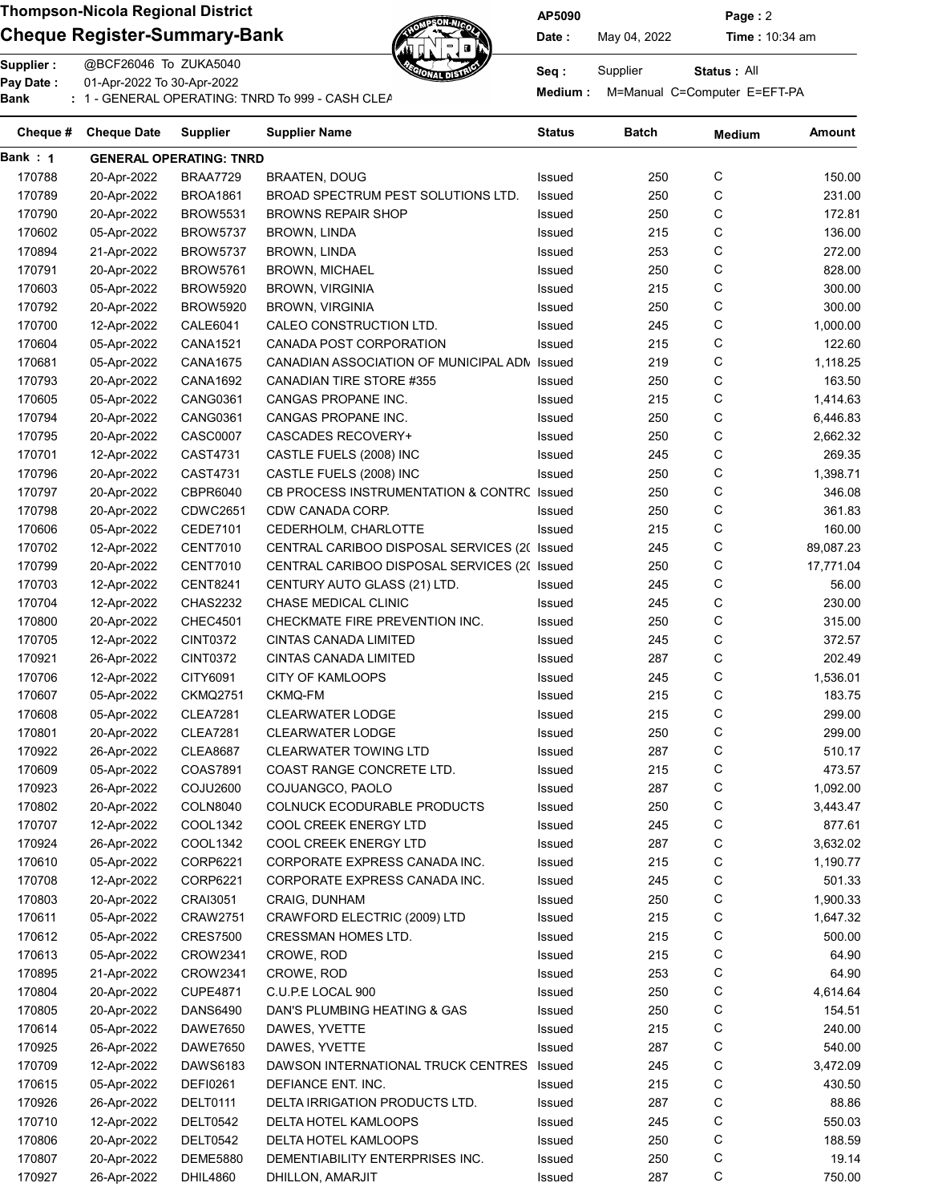### Cheque Register-Summary-Bank  $\mathbb{Z}$  Date: May 04, 2022 Time : 10:34 am



AP5090 Page : 2

Status : All

Supplier : @BCF26046 To ZUKA5040 Seq : Supplier : @BCF26046 To ZUKA5040 Pay Date : 01-Apr-2022 To 30-Apr-2022 or Medium : M=Manual C=Computer E=EFT-PA<br>Bank : 1 - GENERAL OPERATING: TNRD To 999 - CASH CLEARNING BANKING BANKING BANKING BANKING BANKING BANKING: T

| Cheque # | <b>Cheque Date</b> | <b>Supplier</b>                | Supplier Name                                | Status | Batch | <b>Medium</b> | Amount    |
|----------|--------------------|--------------------------------|----------------------------------------------|--------|-------|---------------|-----------|
| Bank: 1  |                    | <b>GENERAL OPERATING: TNRD</b> |                                              |        |       |               |           |
| 170788   | 20-Apr-2022        | <b>BRAA7729</b>                | <b>BRAATEN, DOUG</b>                         | Issued | 250   | С             | 150.00    |
| 170789   | 20-Apr-2022        | <b>BROA1861</b>                | BROAD SPECTRUM PEST SOLUTIONS LTD.           | Issued | 250   | С             | 231.00    |
| 170790   | 20-Apr-2022        | <b>BROW5531</b>                | <b>BROWNS REPAIR SHOP</b>                    | Issued | 250   | С             | 172.81    |
| 170602   | 05-Apr-2022        | <b>BROW5737</b>                | <b>BROWN, LINDA</b>                          | Issued | 215   | C             | 136.00    |
| 170894   | 21-Apr-2022        | <b>BROW5737</b>                | <b>BROWN, LINDA</b>                          | Issued | 253   | C             | 272.00    |
| 170791   | 20-Apr-2022        | <b>BROW5761</b>                | <b>BROWN, MICHAEL</b>                        | Issued | 250   | С             | 828.00    |
| 170603   | 05-Apr-2022        | <b>BROW5920</b>                | <b>BROWN, VIRGINIA</b>                       | Issued | 215   | С             | 300.00    |
| 170792   | 20-Apr-2022        | <b>BROW5920</b>                | <b>BROWN, VIRGINIA</b>                       | Issued | 250   | С             | 300.00    |
| 170700   | 12-Apr-2022        | <b>CALE6041</b>                | CALEO CONSTRUCTION LTD.                      | Issued | 245   | С             | 1,000.00  |
| 170604   | 05-Apr-2022        | CANA1521                       | CANADA POST CORPORATION                      | Issued | 215   | С             | 122.60    |
| 170681   | 05-Apr-2022        | CANA1675                       | CANADIAN ASSOCIATION OF MUNICIPAL ADN        | Issued | 219   | C             | 1,118.25  |
| 170793   | 20-Apr-2022        | CANA1692                       | CANADIAN TIRE STORE #355                     | Issued | 250   | С             | 163.50    |
| 170605   | 05-Apr-2022        | <b>CANG0361</b>                | CANGAS PROPANE INC.                          | Issued | 215   | C             | 1,414.63  |
| 170794   | 20-Apr-2022        | <b>CANG0361</b>                | CANGAS PROPANE INC.                          | Issued | 250   | С             | 6,446.83  |
| 170795   | 20-Apr-2022        | <b>CASC0007</b>                | <b>CASCADES RECOVERY+</b>                    | Issued | 250   | С             | 2,662.32  |
| 170701   | 12-Apr-2022        | CAST4731                       | CASTLE FUELS (2008) INC                      | Issued | 245   | C             | 269.35    |
| 170796   | 20-Apr-2022        | CAST4731                       | CASTLE FUELS (2008) INC                      | Issued | 250   | C             | 1,398.71  |
| 170797   | 20-Apr-2022        | CBPR6040                       | CB PROCESS INSTRUMENTATION & CONTRC Issued   |        | 250   | C             | 346.08    |
| 170798   | 20-Apr-2022        | <b>CDWC2651</b>                | CDW CANADA CORP.                             | Issued | 250   | C             | 361.83    |
| 170606   | 05-Apr-2022        | <b>CEDE7101</b>                | CEDERHOLM, CHARLOTTE                         | Issued | 215   | C             | 160.00    |
| 170702   | 12-Apr-2022        | <b>CENT7010</b>                | CENTRAL CARIBOO DISPOSAL SERVICES (2( Issued |        | 245   | C             | 89,087.23 |
| 170799   | 20-Apr-2022        | <b>CENT7010</b>                | CENTRAL CARIBOO DISPOSAL SERVICES (2( Issued |        | 250   | C             | 17,771.04 |
| 170703   | 12-Apr-2022        | <b>CENT8241</b>                | CENTURY AUTO GLASS (21) LTD.                 | Issued | 245   | C             | 56.00     |
| 170704   | 12-Apr-2022        | <b>CHAS2232</b>                | CHASE MEDICAL CLINIC                         | Issued | 245   | С             | 230.00    |
| 170800   | 20-Apr-2022        | <b>CHEC4501</b>                | CHECKMATE FIRE PREVENTION INC.               | Issued | 250   | С             | 315.00    |
| 170705   | 12-Apr-2022        | <b>CINT0372</b>                | CINTAS CANADA LIMITED                        | Issued | 245   | С             | 372.57    |
| 170921   | 26-Apr-2022        | CINT0372                       | CINTAS CANADA LIMITED                        | Issued | 287   | С             | 202.49    |
| 170706   | 12-Apr-2022        | CITY6091                       | <b>CITY OF KAMLOOPS</b>                      | Issued | 245   | С             | 1,536.01  |
| 170607   | 05-Apr-2022        | <b>CKMQ2751</b>                | CKMQ-FM                                      | Issued | 215   | С             | 183.75    |
| 170608   | 05-Apr-2022        | <b>CLEA7281</b>                | <b>CLEARWATER LODGE</b>                      | Issued | 215   | С             | 299.00    |
| 170801   | 20-Apr-2022        | <b>CLEA7281</b>                | <b>CLEARWATER LODGE</b>                      | Issued | 250   | С             | 299.00    |
| 170922   | 26-Apr-2022        | <b>CLEA8687</b>                | <b>CLEARWATER TOWING LTD</b>                 | Issued | 287   | C             | 510.17    |
| 170609   | 05-Apr-2022        | COAS7891                       | COAST RANGE CONCRETE LTD.                    | Issued | 215   | C             | 473.57    |
| 170923   | 26-Apr-2022        | <b>COJU2600</b>                | COJUANGCO, PAOLO                             | Issued | 287   | C             | 1,092.00  |
| 170802   | 20-Apr-2022        | COLN8040                       | <b>COLNUCK ECODURABLE PRODUCTS</b>           | Issued | 250   | С             | 3,443.47  |
| 170707   | 12-Apr-2022        | COOL1342                       | COOL CREEK ENERGY LTD                        | Issued | 245   | С             | 877.61    |
| 170924   | 26-Apr-2022        | COOL1342                       | COOL CREEK ENERGY LTD                        | Issued | 287   | С             | 3,632.02  |
| 170610   | 05-Apr-2022        | CORP6221                       | CORPORATE EXPRESS CANADA INC.                | Issued | 215   | С             | 1,190.77  |
| 170708   | 12-Apr-2022        | CORP6221                       | CORPORATE EXPRESS CANADA INC.                | Issued | 245   | С             | 501.33    |
| 170803   | 20-Apr-2022        | CRAI3051                       | CRAIG, DUNHAM                                | Issued | 250   | С             | 1,900.33  |
| 170611   | 05-Apr-2022        | <b>CRAW2751</b>                | CRAWFORD ELECTRIC (2009) LTD                 | Issued | 215   | С             | 1,647.32  |
| 170612   | 05-Apr-2022        | <b>CRES7500</b>                | CRESSMAN HOMES LTD.                          | Issued | 215   | C             | 500.00    |
| 170613   | 05-Apr-2022        | CROW2341                       | CROWE, ROD                                   | Issued | 215   | C             | 64.90     |
| 170895   | 21-Apr-2022        | CROW2341                       | CROWE, ROD                                   | Issued | 253   | C             | 64.90     |
| 170804   | 20-Apr-2022        | <b>CUPE4871</b>                | C.U.P.E LOCAL 900                            | Issued | 250   | C             | 4,614.64  |
| 170805   | 20-Apr-2022        | DANS6490                       | DAN'S PLUMBING HEATING & GAS                 | Issued | 250   | C             | 154.51    |
| 170614   | 05-Apr-2022        | <b>DAWE7650</b>                | DAWES, YVETTE                                | Issued | 215   | C             | 240.00    |
| 170925   | 26-Apr-2022        | DAWE7650                       | DAWES, YVETTE                                | Issued | 287   | C             | 540.00    |
| 170709   | 12-Apr-2022        | DAWS6183                       | DAWSON INTERNATIONAL TRUCK CENTRES Issued    |        | 245   | C             | 3,472.09  |
| 170615   | 05-Apr-2022        | <b>DEFI0261</b>                | DEFIANCE ENT. INC.                           | Issued | 215   | С             | 430.50    |
| 170926   | 26-Apr-2022        | DELT0111                       | DELTA IRRIGATION PRODUCTS LTD.               | Issued | 287   | С             | 88.86     |
| 170710   | 12-Apr-2022        | DELT0542                       | DELTA HOTEL KAMLOOPS                         | Issued | 245   | C             | 550.03    |
| 170806   | 20-Apr-2022        | <b>DELT0542</b>                | DELTA HOTEL KAMLOOPS                         | Issued | 250   | C             | 188.59    |
| 170807   | 20-Apr-2022        | <b>DEME5880</b>                | DEMENTIABILITY ENTERPRISES INC.              | Issued | 250   | С             | 19.14     |
| 170927   | 26-Apr-2022        | <b>DHIL4860</b>                | DHILLON, AMARJIT                             | Issued | 287   | С             | 750.00    |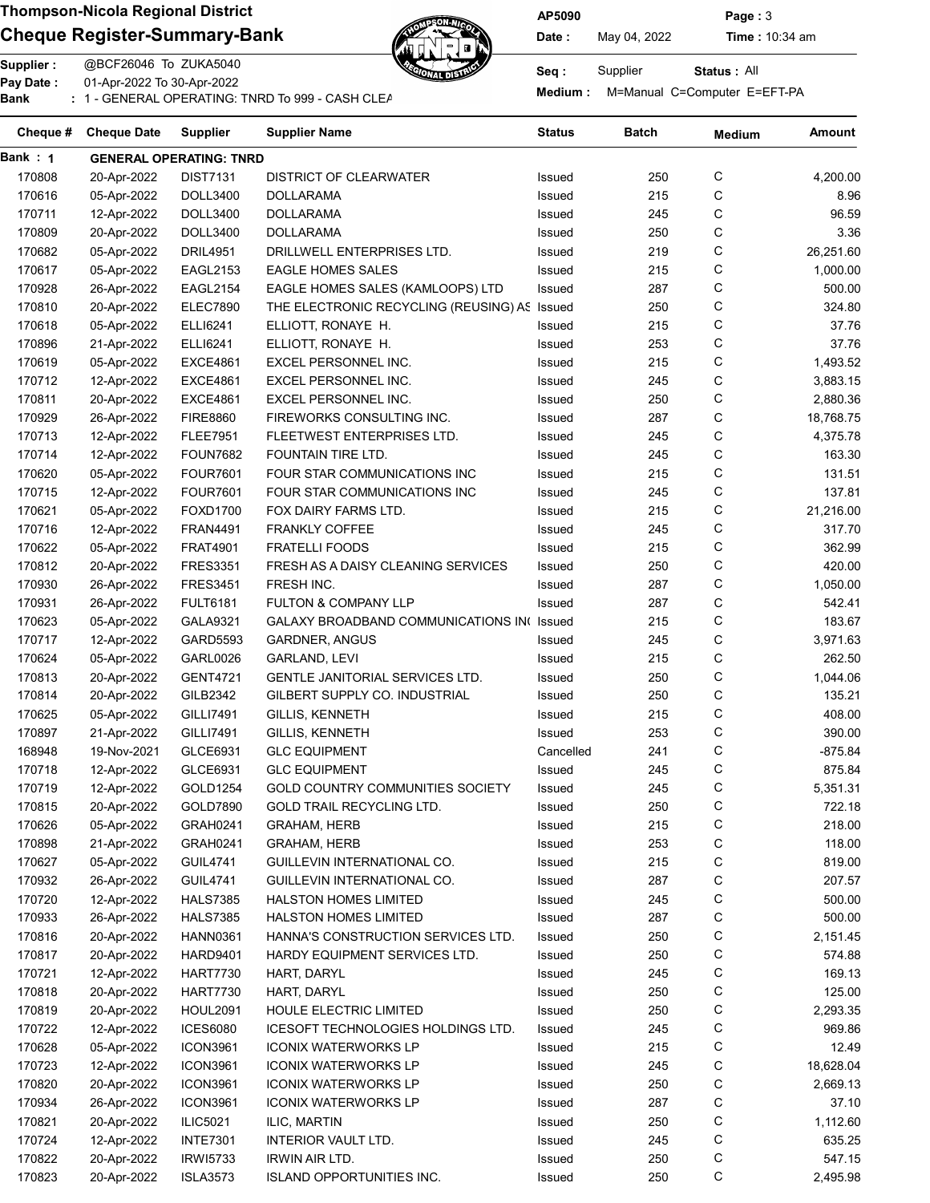### Cheque Register-Summary-Bank  $\mathbb{Z}$  Date: May 04, 2022 Time : 10:34 am



AP5090 Page : 3

Status : All

Supplier : @BCF26046 To ZUKA5040 Seq : Supplier : @BCF26046 To ZUKA5040 Pay Date : 01-Apr-2022 To 30-Apr-2022

or Medium : M=Manual C=Computer E=EFT-PA<br>Bank : 1 - GENERAL OPERATING: TNRD To 999 - CASH CLEARNING BANKING BANKING BANKING BANKING BANKING BANKING: T

| Cheque # | <b>Cheque Date</b> | <b>Supplier</b>                | Supplier Name                              | Status    | Batch | <b>Medium</b> | Amount    |
|----------|--------------------|--------------------------------|--------------------------------------------|-----------|-------|---------------|-----------|
| Bank: 1  |                    | <b>GENERAL OPERATING: TNRD</b> |                                            |           |       |               |           |
| 170808   | 20-Apr-2022        | <b>DIST7131</b>                | <b>DISTRICT OF CLEARWATER</b>              | Issued    | 250   | С             | 4,200.00  |
| 170616   | 05-Apr-2022        | DOLL3400                       | <b>DOLLARAMA</b>                           | Issued    | 215   | С             | 8.96      |
| 170711   | 12-Apr-2022        | <b>DOLL3400</b>                | <b>DOLLARAMA</b>                           | Issued    | 245   | С             | 96.59     |
| 170809   | 20-Apr-2022        | <b>DOLL3400</b>                | <b>DOLLARAMA</b>                           | Issued    | 250   | С             | 3.36      |
| 170682   | 05-Apr-2022        | <b>DRIL4951</b>                | DRILLWELL ENTERPRISES LTD.                 | Issued    | 219   | C             | 26,251.60 |
| 170617   | 05-Apr-2022        | EAGL2153                       | <b>EAGLE HOMES SALES</b>                   | Issued    | 215   | С             | 1,000.00  |
| 170928   | 26-Apr-2022        | <b>EAGL2154</b>                | EAGLE HOMES SALES (KAMLOOPS) LTD           | Issued    | 287   | С             | 500.00    |
| 170810   | 20-Apr-2022        | <b>ELEC7890</b>                | THE ELECTRONIC RECYCLING (REUSING) AS      | Issued    | 250   | С             | 324.80    |
| 170618   | 05-Apr-2022        | <b>ELLI6241</b>                | ELLIOTT, RONAYE H.                         | Issued    | 215   | С             | 37.76     |
| 170896   | 21-Apr-2022        | ELLI6241                       | ELLIOTT, RONAYE H.                         | Issued    | 253   | С             | 37.76     |
| 170619   | 05-Apr-2022        | <b>EXCE4861</b>                | EXCEL PERSONNEL INC.                       | Issued    | 215   | С             | 1,493.52  |
| 170712   | 12-Apr-2022        | <b>EXCE4861</b>                | EXCEL PERSONNEL INC.                       | Issued    | 245   | С             | 3,883.15  |
| 170811   | 20-Apr-2022        | <b>EXCE4861</b>                | EXCEL PERSONNEL INC.                       | Issued    | 250   | С             | 2,880.36  |
| 170929   | 26-Apr-2022        | <b>FIRE8860</b>                | FIREWORKS CONSULTING INC.                  | Issued    | 287   | С             | 18,768.75 |
| 170713   | 12-Apr-2022        | <b>FLEE7951</b>                | FLEETWEST ENTERPRISES LTD.                 | Issued    | 245   | С             | 4,375.78  |
| 170714   | 12-Apr-2022        | <b>FOUN7682</b>                | FOUNTAIN TIRE LTD.                         | Issued    | 245   | С             | 163.30    |
| 170620   | 05-Apr-2022        | <b>FOUR7601</b>                | FOUR STAR COMMUNICATIONS INC               | Issued    | 215   | С             | 131.51    |
| 170715   | 12-Apr-2022        | <b>FOUR7601</b>                | FOUR STAR COMMUNICATIONS INC               | Issued    | 245   | С             | 137.81    |
| 170621   | 05-Apr-2022        | FOXD1700                       | FOX DAIRY FARMS LTD.                       | Issued    | 215   | С             | 21,216.00 |
| 170716   | 12-Apr-2022        | <b>FRAN4491</b>                | <b>FRANKLY COFFEE</b>                      | Issued    | 245   | C             | 317.70    |
| 170622   | 05-Apr-2022        | <b>FRAT4901</b>                | <b>FRATELLI FOODS</b>                      | Issued    | 215   | C             | 362.99    |
| 170812   | 20-Apr-2022        | <b>FRES3351</b>                | FRESH AS A DAISY CLEANING SERVICES         | Issued    | 250   | C             | 420.00    |
| 170930   | 26-Apr-2022        | <b>FRES3451</b>                | FRESH INC.                                 | Issued    | 287   | С             | 1,050.00  |
| 170931   | 26-Apr-2022        | <b>FULT6181</b>                | <b>FULTON &amp; COMPANY LLP</b>            | Issued    | 287   | С             | 542.41    |
| 170623   | 05-Apr-2022        | <b>GALA9321</b>                | GALAXY BROADBAND COMMUNICATIONS IN( Issued |           | 215   | С             | 183.67    |
| 170717   | 12-Apr-2022        | GARD5593                       | <b>GARDNER, ANGUS</b>                      | Issued    | 245   | С             | 3,971.63  |
| 170624   | 05-Apr-2022        | <b>GARL0026</b>                | GARLAND, LEVI                              | Issued    | 215   | С             | 262.50    |
| 170813   | 20-Apr-2022        | <b>GENT4721</b>                | GENTLE JANITORIAL SERVICES LTD.            | Issued    | 250   | С             | 1,044.06  |
| 170814   | 20-Apr-2022        | GILB2342                       | GILBERT SUPPLY CO. INDUSTRIAL              | Issued    | 250   | С             | 135.21    |
|          |                    |                                |                                            |           |       | С             |           |
| 170625   | 05-Apr-2022        | GILLI7491                      | <b>GILLIS, KENNETH</b>                     | Issued    | 215   | С             | 408.00    |
| 170897   | 21-Apr-2022        | GILLI7491                      | <b>GILLIS, KENNETH</b>                     | Issued    | 253   |               | 390.00    |
| 168948   | 19-Nov-2021        | GLCE6931                       | <b>GLC EQUIPMENT</b>                       | Cancelled | 241   | С             | $-875.84$ |
| 170718   | 12-Apr-2022        | GLCE6931                       | <b>GLC EQUIPMENT</b>                       | Issued    | 245   | С             | 875.84    |
| 170719   | 12-Apr-2022        | GOLD1254                       | GOLD COUNTRY COMMUNITIES SOCIETY           | Issued    | 245   | C             | 5,351.31  |
| 170815   | 20-Apr-2022        | GOLD7890                       | GOLD TRAIL RECYCLING LTD.                  | Issued    | 250   | С             | 722.18    |
| 170626   | 05-Apr-2022        | GRAH0241                       | <b>GRAHAM, HERB</b>                        | Issued    | 215   | C             | 218.00    |
| 170898   | 21-Apr-2022        | GRAH0241                       | <b>GRAHAM, HERB</b>                        | Issued    | 253   | C             | 118.00    |
| 170627   | 05-Apr-2022        | <b>GUIL4741</b>                | GUILLEVIN INTERNATIONAL CO.                | Issued    | 215   | C             | 819.00    |
| 170932   | 26-Apr-2022        | <b>GUIL4741</b>                | GUILLEVIN INTERNATIONAL CO.                | Issued    | 287   | C             | 207.57    |
| 170720   | 12-Apr-2022        | <b>HALS7385</b>                | <b>HALSTON HOMES LIMITED</b>               | Issued    | 245   | C             | 500.00    |
| 170933   | 26-Apr-2022        | <b>HALS7385</b>                | HALSTON HOMES LIMITED                      | Issued    | 287   | C             | 500.00    |
| 170816   | 20-Apr-2022        | <b>HANN0361</b>                | HANNA'S CONSTRUCTION SERVICES LTD.         | Issued    | 250   | C             | 2,151.45  |
| 170817   | 20-Apr-2022        | HARD9401                       | HARDY EQUIPMENT SERVICES LTD.              | Issued    | 250   | C             | 574.88    |
| 170721   | 12-Apr-2022        | HART7730                       | HART, DARYL                                | Issued    | 245   | C             | 169.13    |
| 170818   | 20-Apr-2022        | HART7730                       | HART, DARYL                                | Issued    | 250   | C             | 125.00    |
| 170819   | 20-Apr-2022        | HOUL2091                       | HOULE ELECTRIC LIMITED                     | Issued    | 250   | C             | 2,293.35  |
| 170722   | 12-Apr-2022        | <b>ICES6080</b>                | ICESOFT TECHNOLOGIES HOLDINGS LTD.         | Issued    | 245   | C             | 969.86    |
| 170628   | 05-Apr-2022        | ICON3961                       | <b>ICONIX WATERWORKS LP</b>                | Issued    | 215   | C             | 12.49     |
| 170723   | 12-Apr-2022        | <b>ICON3961</b>                | <b>ICONIX WATERWORKS LP</b>                | Issued    | 245   | C             | 18,628.04 |
| 170820   | 20-Apr-2022        | ICON3961                       | <b>ICONIX WATERWORKS LP</b>                | Issued    | 250   | С             | 2,669.13  |
| 170934   | 26-Apr-2022        | <b>ICON3961</b>                | <b>ICONIX WATERWORKS LP</b>                | Issued    | 287   | С             | 37.10     |
| 170821   | 20-Apr-2022        | <b>ILIC5021</b>                | ILIC, MARTIN                               | Issued    | 250   | C             | 1,112.60  |
| 170724   | 12-Apr-2022        | <b>INTE7301</b>                | INTERIOR VAULT LTD.                        | Issued    | 245   | C             | 635.25    |
| 170822   | 20-Apr-2022        | <b>IRWI5733</b>                | IRWIN AIR LTD.                             | Issued    | 250   | С             | 547.15    |
| 170823   | 20-Apr-2022        | <b>ISLA3573</b>                | <b>ISLAND OPPORTUNITIES INC.</b>           | Issued    | 250   | С             | 2,495.98  |
|          |                    |                                |                                            |           |       |               |           |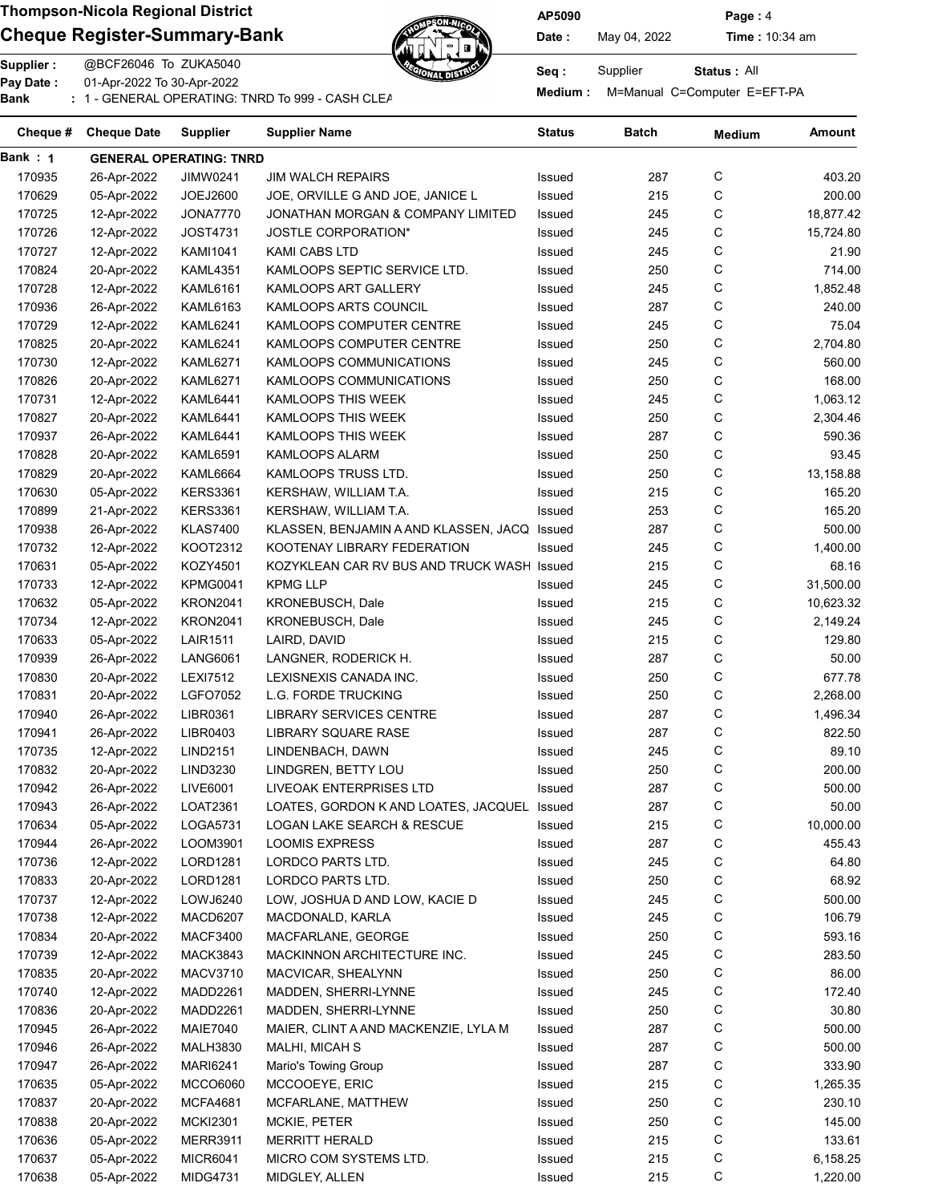### Cheque Register-Summary-Bank  $\mathbb{Z}$   $\mathbb{Z}$  Date: May 04, 2022 Time : 10:34 am



AP5090 Page : 4

Status : All

Supplier : @BCF26046 To ZUKA5040 Seq : Supplier : @BCF26046 To ZUKA5040 Pay Date : 01-Apr-2022 To 30-Apr-2022

Pay Date : CI-Api-2022 To 30-Api-2022<br>Bank : 1 - GENERAL OPERATING: TNRD To 999 - CASH CLEANNING BANKING BANKING Medium : M=Manual C=Computer E=EFT-PA

| Cheque # | <b>Cheque Date</b> | <b>Supplier</b>                | Supplier Name                                | <b>Status</b> | Batch | <b>Medium</b> | Amount    |
|----------|--------------------|--------------------------------|----------------------------------------------|---------------|-------|---------------|-----------|
| Bank : 1 |                    | <b>GENERAL OPERATING: TNRD</b> |                                              |               |       |               |           |
| 170935   | 26-Apr-2022        | JIMW0241                       | <b>JIM WALCH REPAIRS</b>                     | Issued        | 287   | С             | 403.20    |
| 170629   | 05-Apr-2022        | JOEJ2600                       | JOE, ORVILLE G AND JOE, JANICE L             | Issued        | 215   | C             | 200.00    |
| 170725   | 12-Apr-2022        | <b>JONA7770</b>                | JONATHAN MORGAN & COMPANY LIMITED            | Issued        | 245   | С             | 18,877.42 |
| 170726   | 12-Apr-2022        | <b>JOST4731</b>                | <b>JOSTLE CORPORATION*</b>                   | Issued        | 245   | С             | 15,724.80 |
| 170727   | 12-Apr-2022        | <b>KAMI1041</b>                | KAMI CABS LTD                                | Issued        | 245   | С             | 21.90     |
| 170824   | 20-Apr-2022        | <b>KAML4351</b>                | KAMLOOPS SEPTIC SERVICE LTD.                 | Issued        | 250   | С             | 714.00    |
| 170728   | 12-Apr-2022        | <b>KAML6161</b>                | KAMLOOPS ART GALLERY                         | Issued        | 245   | С             | 1,852.48  |
| 170936   | 26-Apr-2022        | <b>KAML6163</b>                | KAMLOOPS ARTS COUNCIL                        | Issued        | 287   | С             | 240.00    |
| 170729   | 12-Apr-2022        | <b>KAML6241</b>                | KAMLOOPS COMPUTER CENTRE                     | Issued        | 245   | С             | 75.04     |
| 170825   | 20-Apr-2022        | KAML6241                       | KAMLOOPS COMPUTER CENTRE                     | Issued        | 250   | C             | 2,704.80  |
| 170730   | 12-Apr-2022        | KAML6271                       | KAMLOOPS COMMUNICATIONS                      | Issued        | 245   | C             | 560.00    |
| 170826   | 20-Apr-2022        | KAML6271                       | KAMLOOPS COMMUNICATIONS                      | Issued        | 250   | C             | 168.00    |
| 170731   | 12-Apr-2022        | KAML6441                       | KAMLOOPS THIS WEEK                           | Issued        | 245   | C             | 1,063.12  |
| 170827   | 20-Apr-2022        | KAML6441                       | KAMLOOPS THIS WEEK                           | Issued        | 250   | С             | 2,304.46  |
| 170937   | 26-Apr-2022        | <b>KAML6441</b>                | KAMLOOPS THIS WEEK                           | Issued        | 287   | С             | 590.36    |
| 170828   | 20-Apr-2022        | KAML6591                       | <b>KAMLOOPS ALARM</b>                        | Issued        | 250   | С             | 93.45     |
| 170829   | 20-Apr-2022        | <b>KAML6664</b>                | KAMLOOPS TRUSS LTD.                          | Issued        | 250   | С             | 13,158.88 |
| 170630   | 05-Apr-2022        | <b>KERS3361</b>                | KERSHAW, WILLIAM T.A.                        | Issued        | 215   | C             | 165.20    |
| 170899   | 21-Apr-2022        | <b>KERS3361</b>                | KERSHAW, WILLIAM T.A.                        | Issued        | 253   | C             | 165.20    |
| 170938   | 26-Apr-2022        | <b>KLAS7400</b>                | KLASSEN, BENJAMIN A AND KLASSEN, JACQ Issued |               | 287   | С             | 500.00    |
| 170732   | 12-Apr-2022        | KOOT2312                       | KOOTENAY LIBRARY FEDERATION                  | Issued        | 245   | С             | 1,400.00  |
| 170631   | 05-Apr-2022        | KOZY4501                       | KOZYKLEAN CAR RV BUS AND TRUCK WASH Issued   |               | 215   | C             | 68.16     |
| 170733   | 12-Apr-2022        | <b>KPMG0041</b>                | <b>KPMG LLP</b>                              | Issued        | 245   | С             | 31,500.00 |
| 170632   | 05-Apr-2022        | <b>KRON2041</b>                | KRONEBUSCH, Dale                             | Issued        | 215   | С             | 10,623.32 |
| 170734   | 12-Apr-2022        | <b>KRON2041</b>                | KRONEBUSCH, Dale                             | Issued        | 245   | С             | 2,149.24  |
| 170633   | 05-Apr-2022        | <b>LAIR1511</b>                | LAIRD, DAVID                                 | Issued        | 215   | С             | 129.80    |
| 170939   | 26-Apr-2022        | <b>LANG6061</b>                | LANGNER, RODERICK H.                         | Issued        | 287   | С             | 50.00     |
| 170830   | 20-Apr-2022        | <b>LEXI7512</b>                | LEXISNEXIS CANADA INC.                       | Issued        | 250   | С             | 677.78    |
| 170831   | 20-Apr-2022        | <b>LGFO7052</b>                | <b>L.G. FORDE TRUCKING</b>                   | Issued        | 250   | С             | 2,268.00  |
| 170940   | 26-Apr-2022        | LIBR0361                       | <b>LIBRARY SERVICES CENTRE</b>               | Issued        | 287   | С             | 1,496.34  |
| 170941   | 26-Apr-2022        | LIBR0403                       | <b>LIBRARY SQUARE RASE</b>                   | Issued        | 287   | С             | 822.50    |
| 170735   | 12-Apr-2022        | <b>LIND2151</b>                | LINDENBACH, DAWN                             | Issued        | 245   | С             | 89.10     |
| 170832   | 20-Apr-2022        | LIND3230                       | LINDGREN, BETTY LOU                          | Issued        | 250   | С             | 200.00    |
| 170942   | 26-Apr-2022        | LIVE6001                       | LIVEOAK ENTERPRISES LTD                      | Issued        | 287   | C             | 500.00    |
| 170943   | 26-Apr-2022        | LOAT2361                       | LOATES, GORDON K AND LOATES, JACQUEL Issued  |               | 287   | С             | 50.00     |
| 170634   | 05-Apr-2022        | LOGA5731                       | LOGAN LAKE SEARCH & RESCUE                   | Issued        | 215   | C             | 10,000.00 |
| 170944   | 26-Apr-2022        | LOOM3901                       | <b>LOOMIS EXPRESS</b>                        | Issued        | 287   | C             | 455.43    |
| 170736   | 12-Apr-2022        | <b>LORD1281</b>                | LORDCO PARTS LTD.                            | Issued        | 245   | C             | 64.80     |
| 170833   | 20-Apr-2022        | LORD1281                       | LORDCO PARTS LTD.                            | Issued        | 250   | С             | 68.92     |
| 170737   | 12-Apr-2022        | LOWJ6240                       | LOW, JOSHUA D AND LOW, KACIE D               | Issued        | 245   | C             | 500.00    |
| 170738   | 12-Apr-2022        | MACD6207                       | MACDONALD, KARLA                             | Issued        | 245   | C             | 106.79    |
| 170834   | 20-Apr-2022        | <b>MACF3400</b>                | MACFARLANE, GEORGE                           | Issued        | 250   | C             | 593.16    |
| 170739   | 12-Apr-2022        | <b>MACK3843</b>                | MACKINNON ARCHITECTURE INC.                  | Issued        | 245   | C             | 283.50    |
| 170835   | 20-Apr-2022        | <b>MACV3710</b>                | MACVICAR, SHEALYNN                           | Issued        | 250   | C             | 86.00     |
| 170740   | 12-Apr-2022        | MADD2261                       | MADDEN, SHERRI-LYNNE                         | Issued        | 245   | С             | 172.40    |
| 170836   | 20-Apr-2022        | MADD2261                       | MADDEN, SHERRI-LYNNE                         | Issued        | 250   | C             | 30.80     |
| 170945   | 26-Apr-2022        | <b>MAIE7040</b>                | MAIER, CLINT A AND MACKENZIE, LYLA M         | Issued        | 287   | C             | 500.00    |
| 170946   | 26-Apr-2022        | MALH3830                       | MALHI, MICAH S                               | Issued        | 287   | C             | 500.00    |
| 170947   | 26-Apr-2022        | <b>MARI6241</b>                | Mario's Towing Group                         | Issued        | 287   | C             | 333.90    |
| 170635   | 05-Apr-2022        | MCCO6060                       | MCCOOEYE, ERIC                               | Issued        | 215   | C             | 1,265.35  |
| 170837   | 20-Apr-2022        | <b>MCFA4681</b>                | MCFARLANE, MATTHEW                           | Issued        | 250   | C             | 230.10    |
| 170838   | 20-Apr-2022        | <b>MCKI2301</b>                | MCKIE, PETER                                 | Issued        | 250   | C             | 145.00    |
| 170636   | 05-Apr-2022        | <b>MERR3911</b>                | <b>MERRITT HERALD</b>                        | Issued        | 215   | С             | 133.61    |
| 170637   | 05-Apr-2022        | <b>MICR6041</b>                | MICRO COM SYSTEMS LTD.                       | Issued        | 215   | C             | 6,158.25  |
|          |                    |                                |                                              |               |       | С             |           |
| 170638   | 05-Apr-2022        | <b>MIDG4731</b>                | MIDGLEY, ALLEN                               | Issued        | 215   |               | 1,220.00  |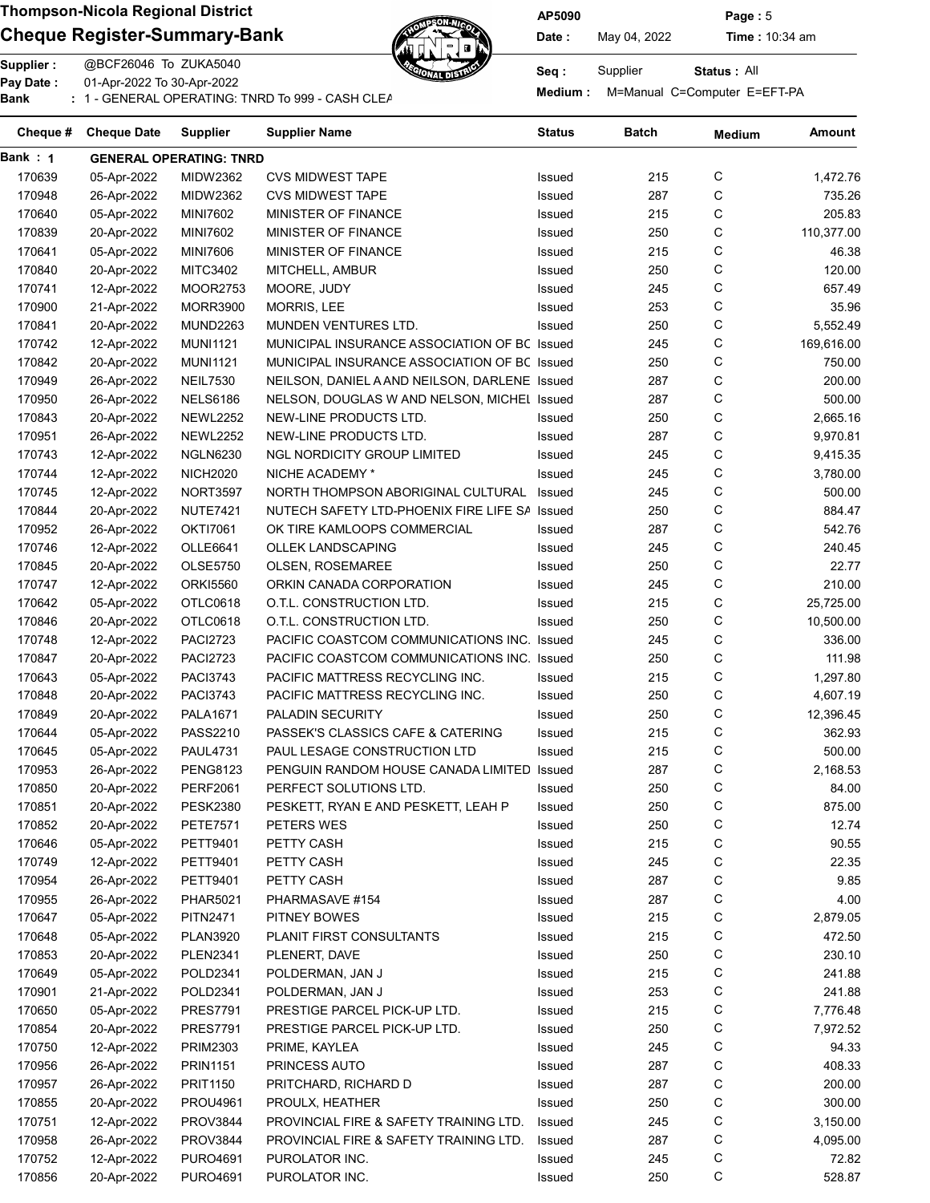## Cheque Register-Summary-Bank  $\mathbb{Z}$  Date: May 04, 2022 Time : 10:34 am



AP5090 Page : 5

Status : All

Supplier : @BCF26046 To ZUKA5040 Seq : Supplier : @BCF26046 To ZUKA5040 Pay Date : 01-Apr-2022 To 30-Apr-2022 or Medium : M=Manual C=Computer E=EFT-PA<br>Bank : 1 - GENERAL OPERATING: TNRD To 999 - CASH CLEARNING BANKING BANKING BANKING BANKING BANKING BANKING: T

| Cheque # | <b>Cheque Date</b> | <b>Supplier</b>                | Supplier Name                                 | Status | Batch | <b>Medium</b> | Amount     |
|----------|--------------------|--------------------------------|-----------------------------------------------|--------|-------|---------------|------------|
| Bank: 1  |                    | <b>GENERAL OPERATING: TNRD</b> |                                               |        |       |               |            |
| 170639   | 05-Apr-2022        | <b>MIDW2362</b>                | <b>CVS MIDWEST TAPE</b>                       | Issued | 215   | С             | 1,472.76   |
| 170948   | 26-Apr-2022        | MIDW2362                       | <b>CVS MIDWEST TAPE</b>                       | Issued | 287   | С             | 735.26     |
| 170640   | 05-Apr-2022        | <b>MINI7602</b>                | MINISTER OF FINANCE                           | Issued | 215   | С             | 205.83     |
| 170839   | 20-Apr-2022        | <b>MINI7602</b>                | MINISTER OF FINANCE                           | Issued | 250   | С             | 110,377.00 |
| 170641   | 05-Apr-2022        | <b>MINI7606</b>                | MINISTER OF FINANCE                           | Issued | 215   | С             | 46.38      |
| 170840   | 20-Apr-2022        | <b>MITC3402</b>                | MITCHELL, AMBUR                               | Issued | 250   | С             | 120.00     |
| 170741   | 12-Apr-2022        | <b>MOOR2753</b>                | MOORE, JUDY                                   | Issued | 245   | С             | 657.49     |
| 170900   | 21-Apr-2022        | <b>MORR3900</b>                | <b>MORRIS, LEE</b>                            | Issued | 253   | С             | 35.96      |
| 170841   | 20-Apr-2022        | <b>MUND2263</b>                | MUNDEN VENTURES LTD.                          | Issued | 250   | С             | 5,552.49   |
| 170742   | 12-Apr-2022        | <b>MUNI1121</b>                | MUNICIPAL INSURANCE ASSOCIATION OF BC Issued  |        | 245   | С             | 169,616.00 |
| 170842   | 20-Apr-2022        | <b>MUNI1121</b>                | MUNICIPAL INSURANCE ASSOCIATION OF BC Issued  |        | 250   | С             | 750.00     |
| 170949   | 26-Apr-2022        | <b>NEIL7530</b>                | NEILSON, DANIEL A AND NEILSON, DARLENE Issued |        | 287   | С             | 200.00     |
| 170950   | 26-Apr-2022        | <b>NELS6186</b>                | NELSON, DOUGLAS W AND NELSON, MICHEL Issued   |        | 287   | С             | 500.00     |
| 170843   | 20-Apr-2022        | <b>NEWL2252</b>                | NEW-LINE PRODUCTS LTD.                        | Issued | 250   | С             | 2,665.16   |
| 170951   | 26-Apr-2022        | <b>NEWL2252</b>                | NEW-LINE PRODUCTS LTD.                        | Issued | 287   | С             | 9,970.81   |
| 170743   | 12-Apr-2022        | <b>NGLN6230</b>                | NGL NORDICITY GROUP LIMITED                   | Issued | 245   | С             | 9,415.35   |
| 170744   | 12-Apr-2022        | <b>NICH2020</b>                | NICHE ACADEMY *                               | Issued | 245   | С             | 3,780.00   |
| 170745   | 12-Apr-2022        | <b>NORT3597</b>                | NORTH THOMPSON ABORIGINAL CULTURAL Issued     |        | 245   | С             | 500.00     |
| 170844   | 20-Apr-2022        | <b>NUTE7421</b>                | NUTECH SAFETY LTD-PHOENIX FIRE LIFE SA Issued |        | 250   | С             | 884.47     |
| 170952   | 26-Apr-2022        | <b>OKTI7061</b>                | OK TIRE KAMLOOPS COMMERCIAL                   | Issued | 287   | C             | 542.76     |
| 170746   | 12-Apr-2022        | <b>OLLE6641</b>                | <b>OLLEK LANDSCAPING</b>                      | Issued | 245   | C             | 240.45     |
| 170845   | 20-Apr-2022        | <b>OLSE5750</b>                | OLSEN, ROSEMAREE                              | Issued | 250   | С             | 22.77      |
| 170747   | 12-Apr-2022        | <b>ORKI5560</b>                | ORKIN CANADA CORPORATION                      | Issued | 245   | С             | 210.00     |
| 170642   | 05-Apr-2022        | OTLC0618                       | O.T.L. CONSTRUCTION LTD.                      | Issued | 215   | С             | 25,725.00  |
| 170846   | 20-Apr-2022        | OTLC0618                       | O.T.L. CONSTRUCTION LTD.                      | Issued | 250   | С             | 10,500.00  |
| 170748   | 12-Apr-2022        | <b>PACI2723</b>                | PACIFIC COASTCOM COMMUNICATIONS INC.          | Issued | 245   | С             | 336.00     |
| 170847   | 20-Apr-2022        | <b>PACI2723</b>                | PACIFIC COASTCOM COMMUNICATIONS INC. Issued   |        | 250   | С             | 111.98     |
| 170643   | 05-Apr-2022        | <b>PACI3743</b>                | PACIFIC MATTRESS RECYCLING INC.               | Issued | 215   | С             | 1,297.80   |
| 170848   | 20-Apr-2022        | <b>PACI3743</b>                | PACIFIC MATTRESS RECYCLING INC.               | Issued | 250   | С             | 4,607.19   |
| 170849   | 20-Apr-2022        | <b>PALA1671</b>                | <b>PALADIN SECURITY</b>                       | Issued | 250   | С             | 12,396.45  |
| 170644   | 05-Apr-2022        | PASS2210                       | PASSEK'S CLASSICS CAFE & CATERING             | Issued | 215   | С             | 362.93     |
| 170645   | 05-Apr-2022        | <b>PAUL4731</b>                | PAUL LESAGE CONSTRUCTION LTD                  | Issued | 215   | С             | 500.00     |
| 170953   | 26-Apr-2022        | <b>PENG8123</b>                | PENGUIN RANDOM HOUSE CANADA LIMITED Issued    |        | 287   | С             | 2,168.53   |
| 170850   | 20-Apr-2022        | <b>PERF2061</b>                | PERFECT SOLUTIONS LTD.                        | Issued | 250   | С             | 84.00      |
| 170851   | 20-Apr-2022        | <b>PESK2380</b>                | PESKETT, RYAN E AND PESKETT, LEAH P           | Issued | 250   | С             | 875.00     |
| 170852   | 20-Apr-2022        | PETE7571                       | PETERS WES                                    | Issued | 250   | С             | 12.74      |
| 170646   | 05-Apr-2022        | <b>PETT9401</b>                | PETTY CASH                                    | Issued | 215   | C             | 90.55      |
| 170749   | 12-Apr-2022        | <b>PETT9401</b>                | PETTY CASH                                    | Issued | 245   | C             | 22.35      |
| 170954   | 26-Apr-2022        | PETT9401                       | PETTY CASH                                    | Issued | 287   | C             | 9.85       |
| 170955   | 26-Apr-2022        | PHAR5021                       | PHARMASAVE #154                               | Issued | 287   | C             | 4.00       |
| 170647   | 05-Apr-2022        | <b>PITN2471</b>                | PITNEY BOWES                                  | Issued | 215   | С             | 2,879.05   |
| 170648   | 05-Apr-2022        | PLAN3920                       | PLANIT FIRST CONSULTANTS                      | Issued | 215   | C             | 472.50     |
| 170853   | 20-Apr-2022        | <b>PLEN2341</b>                | PLENERT, DAVE                                 | Issued | 250   | C             | 230.10     |
| 170649   | 05-Apr-2022        | POLD2341                       | POLDERMAN, JAN J                              | Issued | 215   | C             | 241.88     |
| 170901   | 21-Apr-2022        | POLD2341                       | POLDERMAN, JAN J                              | Issued | 253   | C             | 241.88     |
| 170650   | 05-Apr-2022        | PRES7791                       | PRESTIGE PARCEL PICK-UP LTD.                  | Issued | 215   | C             | 7,776.48   |
| 170854   | 20-Apr-2022        | <b>PRES7791</b>                | PRESTIGE PARCEL PICK-UP LTD.                  | Issued | 250   | C             | 7,972.52   |
| 170750   | 12-Apr-2022        | PRIM2303                       | PRIME, KAYLEA                                 | Issued | 245   | C             | 94.33      |
| 170956   | 26-Apr-2022        | <b>PRIN1151</b>                | PRINCESS AUTO                                 | Issued | 287   | C             | 408.33     |
| 170957   | 26-Apr-2022        | PRIT1150                       | PRITCHARD, RICHARD D                          | Issued | 287   | С             | 200.00     |
| 170855   | 20-Apr-2022        | PROU4961                       | PROULX, HEATHER                               | Issued | 250   | C             | 300.00     |
| 170751   | 12-Apr-2022        | PROV3844                       | PROVINCIAL FIRE & SAFETY TRAINING LTD.        | Issued | 245   | C             | 3,150.00   |
| 170958   | 26-Apr-2022        | <b>PROV3844</b>                | PROVINCIAL FIRE & SAFETY TRAINING LTD.        | Issued | 287   | C             | 4,095.00   |
| 170752   | 12-Apr-2022        | PURO4691                       | PUROLATOR INC.                                | Issued | 245   | С             | 72.82      |
| 170856   | 20-Apr-2022        | <b>PURO4691</b>                | PUROLATOR INC.                                | Issued | 250   | С             | 528.87     |
|          |                    |                                |                                               |        |       |               |            |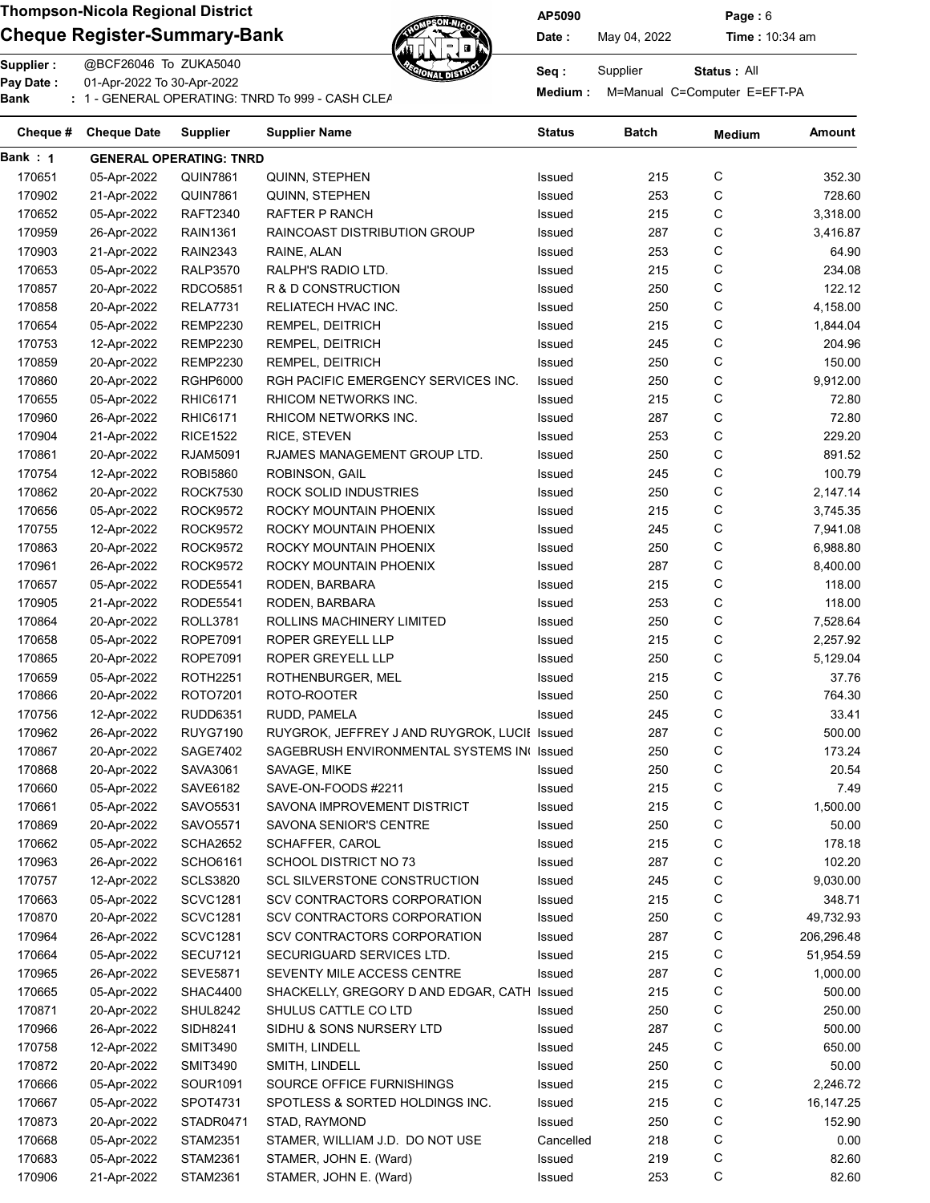Pay Date :

### Cheque Register-Summary-Bank  $\mathbb{Z}$  Date: May 04, 2022 Time : 10:34 am

01-Apr-2022 To 30-Apr-2022



AP5090 Page : 6

Status : All

Tay Bate : Compiled the Compile Compiled the Computer E=EFT-PA<br>Bank : 1 - GENERAL OPERATING: TNRD To 999 - CASH CLEARNING BANKING BANKING BANKING BANKING BANKING: TNRD To 999

| Cheque # | <b>Cheque Date</b>         | <b>Supplier</b>                | <b>Supplier Name</b>                                               | <b>Status</b>    | <b>Batch</b> | <b>Medium</b> | Amount           |
|----------|----------------------------|--------------------------------|--------------------------------------------------------------------|------------------|--------------|---------------|------------------|
| Bank : 1 |                            | <b>GENERAL OPERATING: TNRD</b> |                                                                    |                  |              |               |                  |
| 170651   | 05-Apr-2022                | <b>QUIN7861</b>                | QUINN, STEPHEN                                                     | Issued           | 215          | С             | 352.30           |
| 170902   | 21-Apr-2022                | <b>QUIN7861</b>                | QUINN, STEPHEN                                                     | Issued           | 253          | C             | 728.60           |
| 170652   | 05-Apr-2022                | <b>RAFT2340</b>                | RAFTER P RANCH                                                     | Issued           | 215          | С             | 3,318.00         |
| 170959   | 26-Apr-2022                | <b>RAIN1361</b>                | RAINCOAST DISTRIBUTION GROUP                                       | Issued           | 287          | С             | 3,416.87         |
| 170903   | 21-Apr-2022                | <b>RAIN2343</b>                | RAINE, ALAN                                                        | Issued           | 253          | C             | 64.90            |
| 170653   | 05-Apr-2022                | <b>RALP3570</b>                | RALPH'S RADIO LTD.                                                 | Issued           | 215          | C             | 234.08           |
| 170857   | 20-Apr-2022                | RDCO5851                       | R & D CONSTRUCTION                                                 | Issued           | 250          | C             | 122.12           |
| 170858   | 20-Apr-2022                | <b>RELA7731</b>                | RELIATECH HVAC INC.                                                | Issued           | 250          | С             | 4,158.00         |
| 170654   | 05-Apr-2022                | <b>REMP2230</b>                | REMPEL, DEITRICH                                                   | Issued           | 215          | C             | 1,844.04         |
| 170753   | 12-Apr-2022                | <b>REMP2230</b>                | REMPEL, DEITRICH                                                   | Issued           | 245          | C             | 204.96           |
| 170859   | 20-Apr-2022                | <b>REMP2230</b>                | REMPEL, DEITRICH                                                   | Issued           | 250          | С             | 150.00           |
| 170860   | 20-Apr-2022                | <b>RGHP6000</b>                | RGH PACIFIC EMERGENCY SERVICES INC.                                | Issued           | 250          | C             | 9,912.00         |
| 170655   | 05-Apr-2022                | <b>RHIC6171</b>                | RHICOM NETWORKS INC.                                               | Issued           | 215          | C             | 72.80            |
| 170960   | 26-Apr-2022                | <b>RHIC6171</b>                | RHICOM NETWORKS INC.                                               | Issued           | 287          | C             | 72.80            |
| 170904   | 21-Apr-2022                | <b>RICE1522</b>                | RICE, STEVEN                                                       | Issued           | 253          | C             | 229.20           |
| 170861   | 20-Apr-2022                | <b>RJAM5091</b>                | RJAMES MANAGEMENT GROUP LTD.                                       | Issued           | 250          | C             | 891.52           |
| 170754   | 12-Apr-2022                | <b>ROBI5860</b>                | ROBINSON, GAIL                                                     | Issued           | 245          | С             | 100.79           |
| 170862   | 20-Apr-2022                | <b>ROCK7530</b>                | ROCK SOLID INDUSTRIES                                              | Issued           | 250          | С             | 2,147.14         |
| 170656   | 05-Apr-2022                | <b>ROCK9572</b>                | ROCKY MOUNTAIN PHOENIX                                             | Issued           | 215          | С             | 3,745.35         |
| 170755   | 12-Apr-2022                | <b>ROCK9572</b>                | ROCKY MOUNTAIN PHOENIX                                             | Issued           | 245          | C             | 7,941.08         |
| 170863   | 20-Apr-2022                | <b>ROCK9572</b>                | ROCKY MOUNTAIN PHOENIX                                             | Issued           | 250          | С             | 6,988.80         |
| 170961   | 26-Apr-2022                | <b>ROCK9572</b>                | ROCKY MOUNTAIN PHOENIX                                             | Issued           | 287          | С             | 8,400.00         |
| 170657   | 05-Apr-2022                | <b>RODE5541</b>                | RODEN, BARBARA                                                     | Issued           | 215          | С             | 118.00           |
| 170905   | 21-Apr-2022                | <b>RODE5541</b>                | RODEN, BARBARA                                                     | Issued           | 253          | С             | 118.00           |
| 170864   | 20-Apr-2022                | <b>ROLL3781</b>                | ROLLINS MACHINERY LIMITED                                          | Issued           | 250          | С             | 7,528.64         |
| 170658   | 05-Apr-2022                | <b>ROPE7091</b>                | ROPER GREYELL LLP                                                  | Issued           | 215          | С             | 2,257.92         |
| 170865   | 20-Apr-2022                | <b>ROPE7091</b>                | ROPER GREYELL LLP                                                  | Issued           | 250          | С             | 5,129.04         |
| 170659   | 05-Apr-2022                | <b>ROTH2251</b>                | ROTHENBURGER, MEL                                                  | Issued           | 215          | С             | 37.76            |
| 170866   | 20-Apr-2022                | ROTO7201                       | ROTO-ROOTER                                                        | Issued           | 250          | С             | 764.30           |
| 170756   | 12-Apr-2022                | <b>RUDD6351</b>                | RUDD, PAMELA                                                       | Issued           | 245          | C             | 33.41            |
| 170962   | 26-Apr-2022                | <b>RUYG7190</b>                | RUYGROK, JEFFREY J AND RUYGROK, LUCII Issued                       |                  | 287          | C             | 500.00           |
| 170867   | 20-Apr-2022                | SAGE7402                       | SAGEBRUSH ENVIRONMENTAL SYSTEMS IN Issued                          |                  | 250          | C             | 173.24           |
| 170868   | 20-Apr-2022                | SAVA3061                       | SAVAGE, MIKE                                                       | Issued           | 250          | C             | 20.54            |
| 170660   |                            |                                | SAVE-ON-FOODS #2211                                                |                  | 215          | С             | 7.49             |
| 170661   | 05-Apr-2022<br>05-Apr-2022 | SAVE6182<br>SAVO5531           | SAVONA IMPROVEMENT DISTRICT                                        | Issued<br>Issued | 215          | С             | 1,500.00         |
|          |                            |                                |                                                                    |                  |              |               |                  |
| 170869   | 20-Apr-2022                | SAVO5571                       | SAVONA SENIOR'S CENTRE                                             | Issued           | 250          | C<br>C        | 50.00            |
| 170662   | 05-Apr-2022                | SCHA2652                       | SCHAFFER, CAROL                                                    | Issued           | 215          |               | 178.18<br>102.20 |
| 170963   | 26-Apr-2022                | <b>SCHO6161</b>                | SCHOOL DISTRICT NO 73                                              | Issued           | 287          | С             |                  |
| 170757   | 12-Apr-2022                | <b>SCLS3820</b>                | <b>SCL SILVERSTONE CONSTRUCTION</b><br>SCV CONTRACTORS CORPORATION | Issued           | 245          | C             | 9,030.00         |
| 170663   | 05-Apr-2022                | <b>SCVC1281</b>                |                                                                    | Issued           | 215          | C             | 348.71           |
| 170870   | 20-Apr-2022                | <b>SCVC1281</b>                | SCV CONTRACTORS CORPORATION                                        | Issued           | 250          | С             | 49,732.93        |
| 170964   | 26-Apr-2022                | <b>SCVC1281</b>                | SCV CONTRACTORS CORPORATION                                        | Issued           | 287          | С             | 206,296.48       |
| 170664   | 05-Apr-2022                | <b>SECU7121</b>                | SECURIGUARD SERVICES LTD.                                          | Issued           | 215          | С             | 51,954.59        |
| 170965   | 26-Apr-2022                | <b>SEVE5871</b>                | SEVENTY MILE ACCESS CENTRE                                         | Issued           | 287          | C             | 1,000.00         |
| 170665   | 05-Apr-2022                | SHAC4400                       | SHACKELLY, GREGORY D AND EDGAR, CATH Issued                        |                  | 215          | С             | 500.00           |
| 170871   | 20-Apr-2022                | SHUL8242                       | SHULUS CATTLE CO LTD                                               | Issued           | 250          | C             | 250.00           |
| 170966   | 26-Apr-2022                | SIDH8241                       | SIDHU & SONS NURSERY LTD                                           | Issued           | 287          | C             | 500.00           |
| 170758   | 12-Apr-2022                | <b>SMIT3490</b>                | SMITH, LINDELL                                                     | Issued           | 245          | C             | 650.00           |
| 170872   | 20-Apr-2022                | <b>SMIT3490</b>                | SMITH, LINDELL                                                     | Issued           | 250          | C             | 50.00            |
| 170666   | 05-Apr-2022                | SOUR1091                       | SOURCE OFFICE FURNISHINGS                                          | Issued           | 215          | C             | 2,246.72         |
| 170667   | 05-Apr-2022                | SPOT4731                       | SPOTLESS & SORTED HOLDINGS INC.                                    | Issued           | 215          | C             | 16,147.25        |
| 170873   | 20-Apr-2022                | STADR0471                      | STAD, RAYMOND                                                      | Issued           | 250          | C             | 152.90           |
| 170668   | 05-Apr-2022                | STAM2351                       | STAMER, WILLIAM J.D. DO NOT USE                                    | Cancelled        | 218          | C             | 0.00             |
| 170683   | 05-Apr-2022                | STAM2361                       | STAMER, JOHN E. (Ward)                                             | Issued           | 219          | C             | 82.60            |
| 170906   | 21-Apr-2022                | STAM2361                       | STAMER, JOHN E. (Ward)                                             | Issued           | 253          | С             | 82.60            |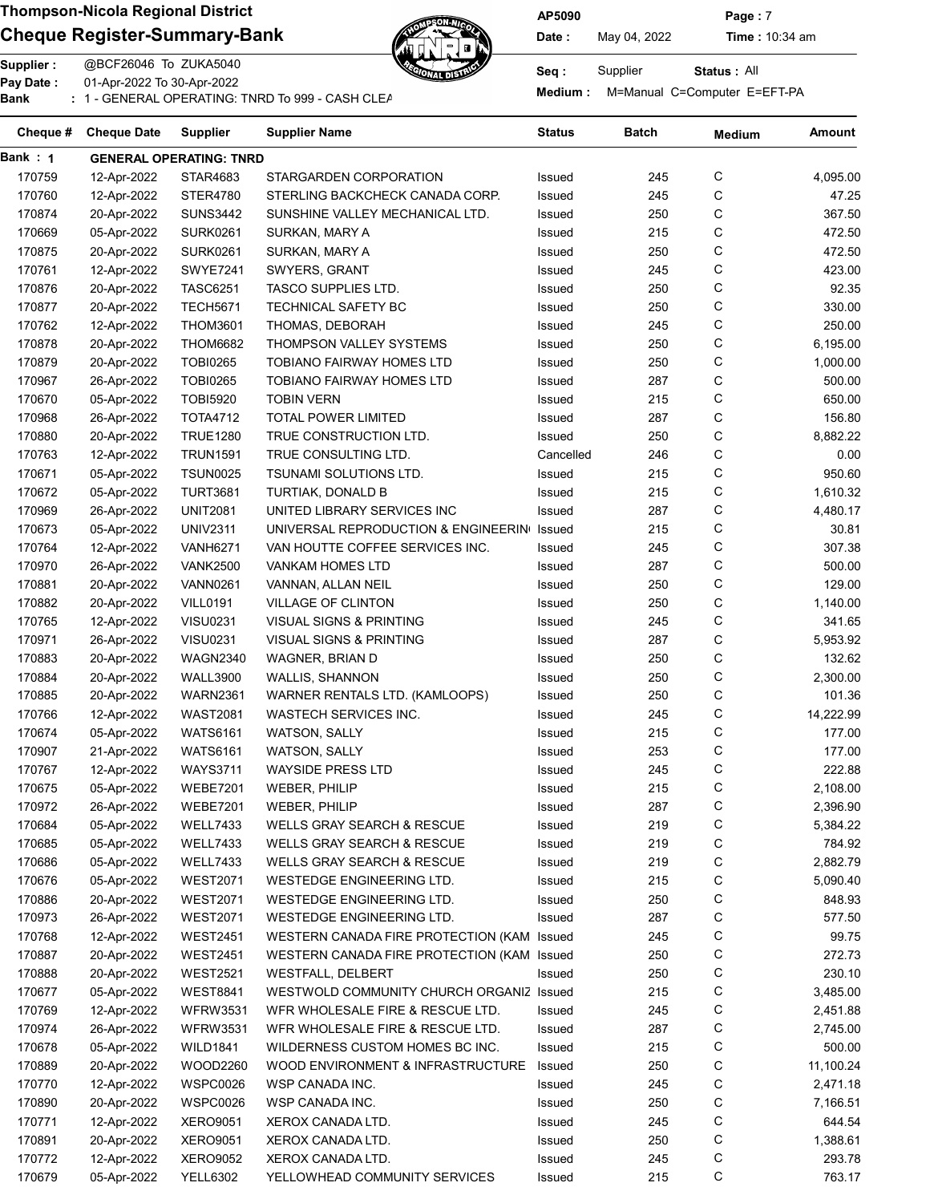### Cheque Register-Summary-Bank  $\mathbb{Z}$   $\mathbb{Z}$  Date: May 04, 2022 Time : 10:34 am



AP5090 Page : 7

Status : All

Supplier : @BCF26046 To ZUKA5040 Seq : Supplier : @BCF26046 To ZUKA5040 Pay Date : 01-Apr-2022 To 30-Apr-2022

Pay Date : CI-Api-2022 To 30-Api-2022<br>Bank : 1 - GENERAL OPERATING: TNRD To 999 - CASH CLEARNING BANKING BANKING Medium : M=Manual C=Computer E=EFT-PA

| Cheque # | <b>Cheque Date</b>         | Supplier                       | Supplier Name                              | <b>Status</b> | <b>Batch</b> | <b>Medium</b> | Amount    |
|----------|----------------------------|--------------------------------|--------------------------------------------|---------------|--------------|---------------|-----------|
| Bank : 1 |                            | <b>GENERAL OPERATING: TNRD</b> |                                            |               |              |               |           |
| 170759   | 12-Apr-2022                | STAR4683                       | STARGARDEN CORPORATION                     | Issued        | 245          | С             | 4,095.00  |
| 170760   | 12-Apr-2022                | STER4780                       | STERLING BACKCHECK CANADA CORP.            | Issued        | 245          | C             | 47.25     |
| 170874   | 20-Apr-2022                | <b>SUNS3442</b>                | SUNSHINE VALLEY MECHANICAL LTD.            | Issued        | 250          | C             | 367.50    |
| 170669   | 05-Apr-2022                | <b>SURK0261</b>                | SURKAN, MARY A                             | Issued        | 215          | С             | 472.50    |
| 170875   | 20-Apr-2022                | <b>SURK0261</b>                | SURKAN, MARY A                             | Issued        | 250          | С             | 472.50    |
| 170761   | 12-Apr-2022                | <b>SWYE7241</b>                | SWYERS, GRANT                              | Issued        | 245          | С             | 423.00    |
| 170876   | 20-Apr-2022                | <b>TASC6251</b>                | <b>TASCO SUPPLIES LTD.</b>                 | Issued        | 250          | С             | 92.35     |
| 170877   | 20-Apr-2022                | <b>TECH5671</b>                | TECHNICAL SAFETY BC                        | Issued        | 250          | С             | 330.00    |
| 170762   | 12-Apr-2022                | <b>THOM3601</b>                | THOMAS, DEBORAH                            | Issued        | 245          | С             | 250.00    |
| 170878   | 20-Apr-2022                | <b>THOM6682</b>                | THOMPSON VALLEY SYSTEMS                    | Issued        | 250          | C             | 6,195.00  |
| 170879   | 20-Apr-2022                | <b>TOBI0265</b>                | <b>TOBIANO FAIRWAY HOMES LTD</b>           | Issued        | 250          | C             | 1,000.00  |
| 170967   | 26-Apr-2022                | <b>TOBI0265</b>                | <b>TOBIANO FAIRWAY HOMES LTD</b>           | Issued        | 287          | С             | 500.00    |
| 170670   | 05-Apr-2022                | <b>TOBI5920</b>                | <b>TOBIN VERN</b>                          | Issued        | 215          | С             | 650.00    |
| 170968   | 26-Apr-2022                | <b>TOTA4712</b>                | <b>TOTAL POWER LIMITED</b>                 | Issued        | 287          | С             | 156.80    |
|          |                            |                                |                                            |               |              | C             |           |
| 170880   | 20-Apr-2022                | <b>TRUE1280</b>                | TRUE CONSTRUCTION LTD.                     | Issued        | 250          |               | 8,882.22  |
| 170763   | 12-Apr-2022                | <b>TRUN1591</b>                | TRUE CONSULTING LTD.                       | Cancelled     | 246          | С             | 0.00      |
| 170671   | 05-Apr-2022                | <b>TSUN0025</b>                | TSUNAMI SOLUTIONS LTD.                     | Issued        | 215          | С             | 950.60    |
| 170672   | 05-Apr-2022                | <b>TURT3681</b>                | TURTIAK, DONALD B                          | Issued        | 215          | С             | 1,610.32  |
| 170969   | 26-Apr-2022                | <b>UNIT2081</b>                | UNITED LIBRARY SERVICES INC                | Issued        | 287          | С             | 4,480.17  |
| 170673   | 05-Apr-2022                | <b>UNIV2311</b>                | UNIVERSAL REPRODUCTION & ENGINEERIN        | Issued        | 215          | С             | 30.81     |
| 170764   | 12-Apr-2022                | <b>VANH6271</b>                | VAN HOUTTE COFFEE SERVICES INC.            | Issued        | 245          | С             | 307.38    |
| 170970   | 26-Apr-2022                | <b>VANK2500</b>                | VANKAM HOMES LTD                           | Issued        | 287          | С             | 500.00    |
| 170881   | 20-Apr-2022                | <b>VANN0261</b>                | VANNAN, ALLAN NEIL                         | Issued        | 250          | С             | 129.00    |
| 170882   | 20-Apr-2022                | <b>VILL0191</b>                | VILLAGE OF CLINTON                         | Issued        | 250          | С             | 1,140.00  |
| 170765   | 12-Apr-2022                | <b>VISU0231</b>                | VISUAL SIGNS & PRINTING                    | Issued        | 245          | С             | 341.65    |
| 170971   | 26-Apr-2022                | <b>VISU0231</b>                | VISUAL SIGNS & PRINTING                    | Issued        | 287          | С             | 5,953.92  |
| 170883   | 20-Apr-2022                | <b>WAGN2340</b>                | WAGNER, BRIAN D                            | Issued        | 250          | С             | 132.62    |
| 170884   | 20-Apr-2022                | <b>WALL3900</b>                | WALLIS, SHANNON                            | Issued        | 250          | С             | 2,300.00  |
| 170885   | 20-Apr-2022                | <b>WARN2361</b>                | WARNER RENTALS LTD. (KAMLOOPS)             | Issued        | 250          | С             | 101.36    |
| 170766   | 12-Apr-2022                | WAST2081                       | <b>WASTECH SERVICES INC.</b>               | Issued        | 245          | С             | 14,222.99 |
| 170674   | 05-Apr-2022                | <b>WATS6161</b>                | WATSON, SALLY                              | Issued        | 215          | С             | 177.00    |
| 170907   | 21-Apr-2022                | <b>WATS6161</b>                | <b>WATSON, SALLY</b>                       | Issued        | 253          | С             | 177.00    |
| 170767   | 12-Apr-2022                | <b>WAYS3711</b>                | <b>WAYSIDE PRESS LTD</b>                   | Issued        | 245          | С             | 222.88    |
| 170675   | 05-Apr-2022                | <b>WEBE7201</b>                | WEBER, PHILIP                              | Issued        | 215          | C             | 2,108.00  |
| 170972   | 26-Apr-2022                | <b>WEBE7201</b>                | WEBER, PHILIP                              | Issued        | 287          | C             | 2,396.90  |
| 170684   | 05-Apr-2022                | <b>WELL7433</b>                | WELLS GRAY SEARCH & RESCUE                 | Issued        | 219          | С             | 5,384.22  |
| 170685   | 05-Apr-2022                | <b>WELL7433</b>                | WELLS GRAY SEARCH & RESCUE                 | Issued        | 219          | C             | 784.92    |
| 170686   | 05-Apr-2022                | <b>WELL7433</b>                | <b>WELLS GRAY SEARCH &amp; RESCUE</b>      | Issued        | 219          | C             | 2,882.79  |
| 170676   | 05-Apr-2022                | <b>WEST2071</b>                | WESTEDGE ENGINEERING LTD.                  | Issued        | 215          | C             | 5,090.40  |
| 170886   |                            | <b>WEST2071</b>                | WESTEDGE ENGINEERING LTD.                  | Issued        | 250          | C             | 848.93    |
|          | 20-Apr-2022<br>26-Apr-2022 |                                | WESTEDGE ENGINEERING LTD.                  | Issued        | 287          | C             | 577.50    |
| 170973   |                            | <b>WEST2071</b>                |                                            |               |              |               |           |
| 170768   | 12-Apr-2022                | <b>WEST2451</b>                | WESTERN CANADA FIRE PROTECTION (KAM Issued |               | 245          | C             | 99.75     |
| 170887   | 20-Apr-2022                | <b>WEST2451</b>                | WESTERN CANADA FIRE PROTECTION (KAM Issued |               | 250          | C             | 272.73    |
| 170888   | 20-Apr-2022                | <b>WEST2521</b>                | <b>WESTFALL, DELBERT</b>                   | Issued        | 250          | C             | 230.10    |
| 170677   | 05-Apr-2022                | <b>WEST8841</b>                | WESTWOLD COMMUNITY CHURCH ORGANIZ Issued   |               | 215          | С             | 3,485.00  |
| 170769   | 12-Apr-2022                | <b>WFRW3531</b>                | WFR WHOLESALE FIRE & RESCUE LTD.           | Issued        | 245          | C             | 2,451.88  |
| 170974   | 26-Apr-2022                | <b>WFRW3531</b>                | WFR WHOLESALE FIRE & RESCUE LTD.           | Issued        | 287          | C             | 2,745.00  |
| 170678   | 05-Apr-2022                | <b>WILD1841</b>                | WILDERNESS CUSTOM HOMES BC INC.            | Issued        | 215          | C             | 500.00    |
| 170889   | 20-Apr-2022                | WOOD2260                       | WOOD ENVIRONMENT & INFRASTRUCTURE          | Issued        | 250          | C             | 11,100.24 |
| 170770   | 12-Apr-2022                | <b>WSPC0026</b>                | WSP CANADA INC.                            | Issued        | 245          | C             | 2,471.18  |
| 170890   | 20-Apr-2022                | <b>WSPC0026</b>                | WSP CANADA INC.                            | Issued        | 250          | C             | 7,166.51  |
| 170771   | 12-Apr-2022                | <b>XERO9051</b>                | XEROX CANADA LTD.                          | Issued        | 245          | C             | 644.54    |
| 170891   | 20-Apr-2022                | <b>XERO9051</b>                | XEROX CANADA LTD.                          | Issued        | 250          | С             | 1,388.61  |
| 170772   | 12-Apr-2022                | <b>XERO9052</b>                | XEROX CANADA LTD.                          | Issued        | 245          | C             | 293.78    |
| 170679   | 05-Apr-2022                | <b>YELL6302</b>                | YELLOWHEAD COMMUNITY SERVICES              | Issued        | 215          | С             | 763.17    |